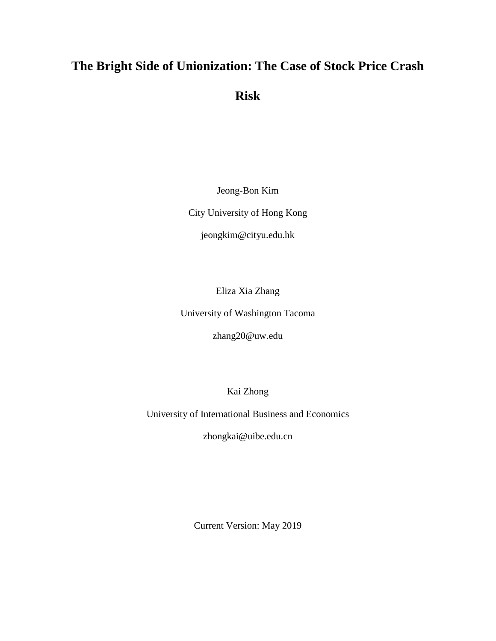# **The Bright Side of Unionization: The Case of Stock Price Crash**

# **Risk**

Jeong-Bon Kim

City University of Hong Kong

jeongkim@cityu.edu.hk

Eliza Xia Zhang

University of Washington Tacoma

zhang20@uw.edu

Kai Zhong

University of International Business and Economics

zhongkai@uibe.edu.cn

Current Version: May 2019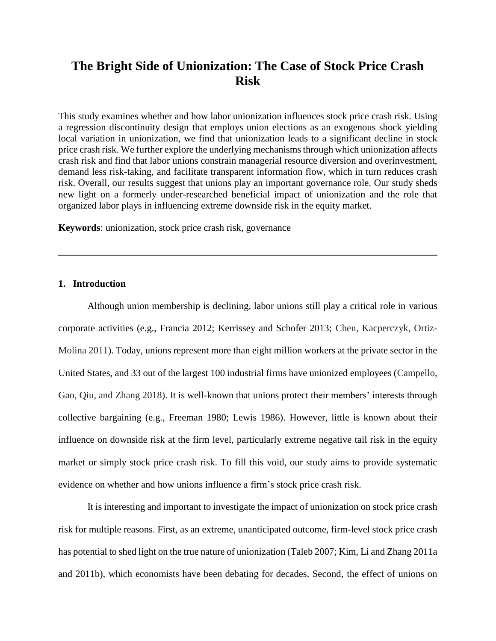# **The Bright Side of Unionization: The Case of Stock Price Crash Risk**

This study examines whether and how labor unionization influences stock price crash risk. Using a regression discontinuity design that employs union elections as an exogenous shock yielding local variation in unionization, we find that unionization leads to a significant decline in stock price crash risk. We further explore the underlying mechanisms through which unionization affects crash risk and find that labor unions constrain managerial resource diversion and overinvestment, demand less risk-taking, and facilitate transparent information flow, which in turn reduces crash risk. Overall, our results suggest that unions play an important governance role. Our study sheds new light on a formerly under-researched beneficial impact of unionization and the role that organized labor plays in influencing extreme downside risk in the equity market.

**Keywords**: unionization, stock price crash risk, governance

### **1. Introduction**

Although union membership is declining, labor unions still play a critical role in various corporate activities (e.g., Francia 2012; Kerrissey and Schofer 2013; Chen, Kacperczyk, Ortiz-Molina 2011). Today, unions represent more than eight million workers at the private sector in the United States, and 33 out of the largest 100 industrial firms have unionized employees (Campello, Gao, Qiu, and Zhang 2018). It is well-known that unions protect their members' interests through collective bargaining (e.g., Freeman 1980; Lewis 1986). However, little is known about their influence on downside risk at the firm level, particularly extreme negative tail risk in the equity market or simply stock price crash risk. To fill this void, our study aims to provide systematic evidence on whether and how unions influence a firm's stock price crash risk.

It is interesting and important to investigate the impact of unionization on stock price crash risk for multiple reasons. First, as an extreme, unanticipated outcome, firm-level stock price crash has potential to shed light on the true nature of unionization (Taleb 2007; Kim, Li and Zhang 2011a and 2011b), which economists have been debating for decades. Second, the effect of unions on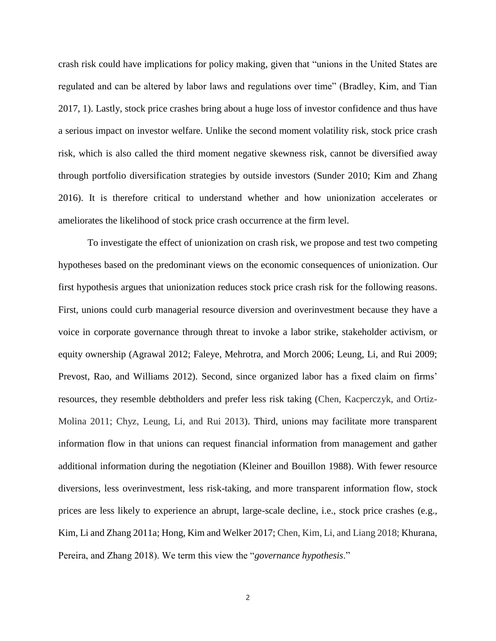crash risk could have implications for policy making, given that "unions in the United States are regulated and can be altered by labor laws and regulations over time" (Bradley, Kim, and Tian 2017, 1). Lastly, stock price crashes bring about a huge loss of investor confidence and thus have a serious impact on investor welfare. Unlike the second moment volatility risk, stock price crash risk, which is also called the third moment negative skewness risk, cannot be diversified away through portfolio diversification strategies by outside investors (Sunder 2010; Kim and Zhang 2016). It is therefore critical to understand whether and how unionization accelerates or ameliorates the likelihood of stock price crash occurrence at the firm level.

To investigate the effect of unionization on crash risk, we propose and test two competing hypotheses based on the predominant views on the economic consequences of unionization. Our first hypothesis argues that unionization reduces stock price crash risk for the following reasons. First, unions could curb managerial resource diversion and overinvestment because they have a voice in corporate governance through threat to invoke a labor strike, stakeholder activism, or equity ownership (Agrawal 2012; Faleye, Mehrotra, and Morch 2006; Leung, Li, and Rui 2009; Prevost, Rao, and Williams 2012). Second, since organized labor has a fixed claim on firms' resources, they resemble debtholders and prefer less risk taking (Chen, Kacperczyk, and Ortiz-Molina 2011; Chyz, Leung, Li, and Rui 2013). Third, unions may facilitate more transparent information flow in that unions can request financial information from management and gather additional information during the negotiation (Kleiner and Bouillon 1988). With fewer resource diversions, less overinvestment, less risk-taking, and more transparent information flow, stock prices are less likely to experience an abrupt, large-scale decline, i.e., stock price crashes (e.g., Kim, Li and Zhang 2011a; Hong, Kim and Welker 2017; Chen, Kim, Li, and Liang 2018; Khurana, Pereira, and Zhang 2018). We term this view the "*governance hypothesis*."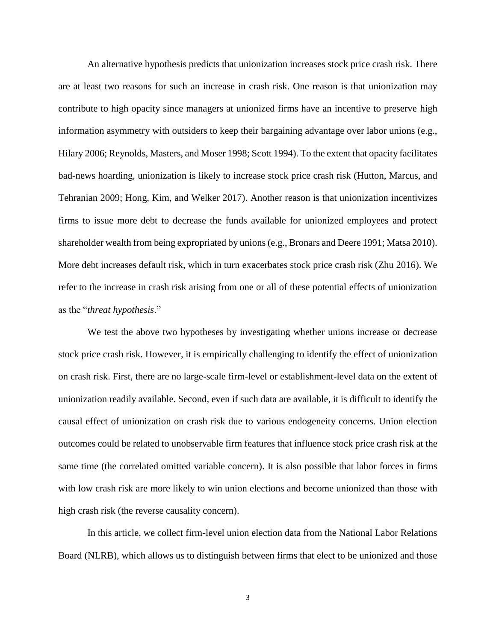An alternative hypothesis predicts that unionization increases stock price crash risk. There are at least two reasons for such an increase in crash risk. One reason is that unionization may contribute to high opacity since managers at unionized firms have an incentive to preserve high information asymmetry with outsiders to keep their bargaining advantage over labor unions (e.g., Hilary 2006; Reynolds, Masters, and Moser 1998; Scott 1994). To the extent that opacity facilitates bad-news hoarding, unionization is likely to increase stock price crash risk (Hutton, Marcus, and Tehranian 2009; Hong, Kim, and Welker 2017). Another reason is that unionization incentivizes firms to issue more debt to decrease the funds available for unionized employees and protect shareholder wealth from being expropriated by unions (e.g., Bronars and Deere 1991; Matsa 2010). More debt increases default risk, which in turn exacerbates stock price crash risk (Zhu 2016). We refer to the increase in crash risk arising from one or all of these potential effects of unionization as the "*threat hypothesis*."

We test the above two hypotheses by investigating whether unions increase or decrease stock price crash risk. However, it is empirically challenging to identify the effect of unionization on crash risk. First, there are no large-scale firm-level or establishment-level data on the extent of unionization readily available. Second, even if such data are available, it is difficult to identify the causal effect of unionization on crash risk due to various endogeneity concerns. Union election outcomes could be related to unobservable firm features that influence stock price crash risk at the same time (the correlated omitted variable concern). It is also possible that labor forces in firms with low crash risk are more likely to win union elections and become unionized than those with high crash risk (the reverse causality concern).

In this article, we collect firm-level union election data from the National Labor Relations Board (NLRB), which allows us to distinguish between firms that elect to be unionized and those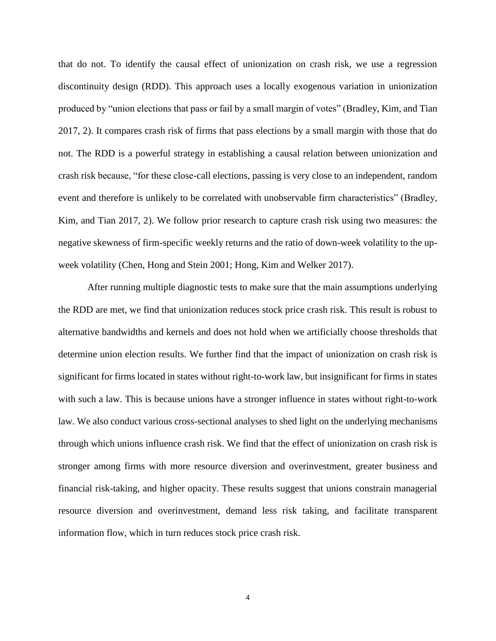that do not. To identify the causal effect of unionization on crash risk, we use a regression discontinuity design (RDD). This approach uses a locally exogenous variation in unionization produced by "union elections that pass or fail by a small margin of votes" (Bradley, Kim, and Tian 2017, 2). It compares crash risk of firms that pass elections by a small margin with those that do not. The RDD is a powerful strategy in establishing a causal relation between unionization and crash risk because, "for these close-call elections, passing is very close to an independent, random event and therefore is unlikely to be correlated with unobservable firm characteristics" (Bradley, Kim, and Tian 2017, 2). We follow prior research to capture crash risk using two measures: the negative skewness of firm-specific weekly returns and the ratio of down-week volatility to the upweek volatility (Chen, Hong and Stein 2001; Hong, Kim and Welker 2017).

After running multiple diagnostic tests to make sure that the main assumptions underlying the RDD are met, we find that unionization reduces stock price crash risk. This result is robust to alternative bandwidths and kernels and does not hold when we artificially choose thresholds that determine union election results. We further find that the impact of unionization on crash risk is significant for firms located in states without right-to-work law, but insignificant for firms in states with such a law. This is because unions have a stronger influence in states without right-to-work law. We also conduct various cross-sectional analyses to shed light on the underlying mechanisms through which unions influence crash risk. We find that the effect of unionization on crash risk is stronger among firms with more resource diversion and overinvestment, greater business and financial risk-taking, and higher opacity. These results suggest that unions constrain managerial resource diversion and overinvestment, demand less risk taking, and facilitate transparent information flow, which in turn reduces stock price crash risk.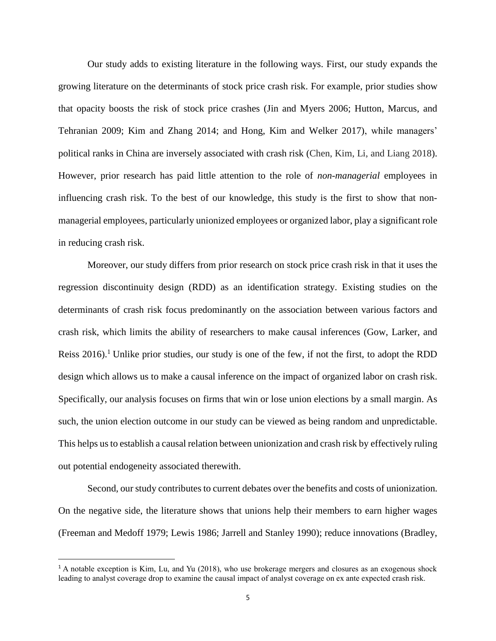Our study adds to existing literature in the following ways. First, our study expands the growing literature on the determinants of stock price crash risk. For example, prior studies show that opacity boosts the risk of stock price crashes (Jin and Myers 2006; Hutton, Marcus, and Tehranian 2009; Kim and Zhang 2014; and Hong, Kim and Welker 2017), while managers' political ranks in China are inversely associated with crash risk (Chen, Kim, Li, and Liang 2018). However, prior research has paid little attention to the role of *non-managerial* employees in influencing crash risk. To the best of our knowledge, this study is the first to show that nonmanagerial employees, particularly unionized employees or organized labor, play a significant role in reducing crash risk.

Moreover, our study differs from prior research on stock price crash risk in that it uses the regression discontinuity design (RDD) as an identification strategy. Existing studies on the determinants of crash risk focus predominantly on the association between various factors and crash risk, which limits the ability of researchers to make causal inferences (Gow, Larker, and Reiss 2016).<sup>1</sup> Unlike prior studies, our study is one of the few, if not the first, to adopt the RDD design which allows us to make a causal inference on the impact of organized labor on crash risk. Specifically, our analysis focuses on firms that win or lose union elections by a small margin. As such, the union election outcome in our study can be viewed as being random and unpredictable. This helps us to establish a causal relation between unionization and crash risk by effectively ruling out potential endogeneity associated therewith.

Second, our study contributes to current debates over the benefits and costs of unionization. On the negative side, the literature shows that unions help their members to earn higher wages (Freeman and Medoff 1979; Lewis 1986; Jarrell and Stanley 1990); reduce innovations (Bradley,

l

<sup>1</sup> A notable exception is Kim, Lu, and Yu (2018), who use brokerage mergers and closures as an exogenous shock leading to analyst coverage drop to examine the causal impact of analyst coverage on ex ante expected crash risk.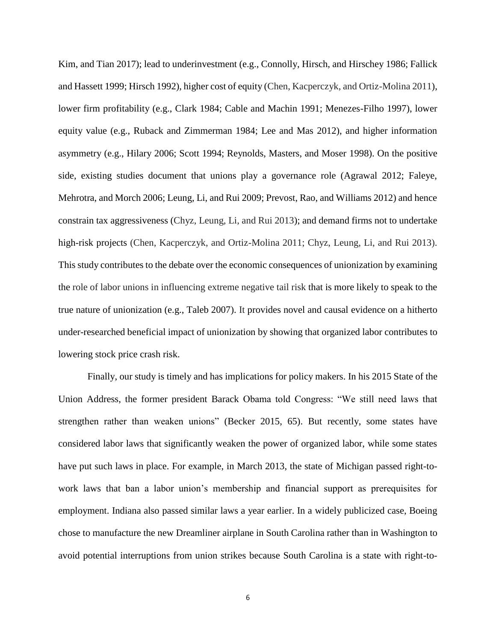Kim, and Tian 2017); lead to underinvestment (e.g., Connolly, Hirsch, and Hirschey 1986; Fallick and Hassett 1999; Hirsch 1992), higher cost of equity (Chen, Kacperczyk, and Ortiz-Molina 2011), lower firm profitability (e.g., Clark 1984; Cable and Machin 1991; Menezes-Filho 1997), lower equity value (e.g., Ruback and Zimmerman 1984; Lee and Mas 2012), and higher information asymmetry (e.g., Hilary 2006; Scott 1994; Reynolds, Masters, and Moser 1998). On the positive side, existing studies document that unions play a governance role (Agrawal 2012; Faleye, Mehrotra, and Morch 2006; Leung, Li, and Rui 2009; Prevost, Rao, and Williams 2012) and hence constrain tax aggressiveness (Chyz, Leung, Li, and Rui 2013); and demand firms not to undertake high-risk projects (Chen, Kacperczyk, and Ortiz-Molina 2011; Chyz, Leung, Li, and Rui 2013). This study contributes to the debate over the economic consequences of unionization by examining the role of labor unions in influencing extreme negative tail risk that is more likely to speak to the true nature of unionization (e.g., Taleb 2007). It provides novel and causal evidence on a hitherto under-researched beneficial impact of unionization by showing that organized labor contributes to lowering stock price crash risk.

Finally, our study is timely and has implications for policy makers. In his 2015 State of the Union Address, the former president Barack Obama told Congress: "We still need laws that strengthen rather than weaken unions" (Becker 2015, 65). But recently, some states have considered labor laws that significantly weaken the power of organized labor, while some states have put such laws in place. For example, in March 2013, the state of Michigan passed right-towork laws that ban a labor union's membership and financial support as prerequisites for employment. Indiana also passed similar laws a year earlier. In a widely publicized case, Boeing chose to manufacture the new Dreamliner airplane in South Carolina rather than in Washington to avoid potential interruptions from union strikes because South Carolina is a state with right-to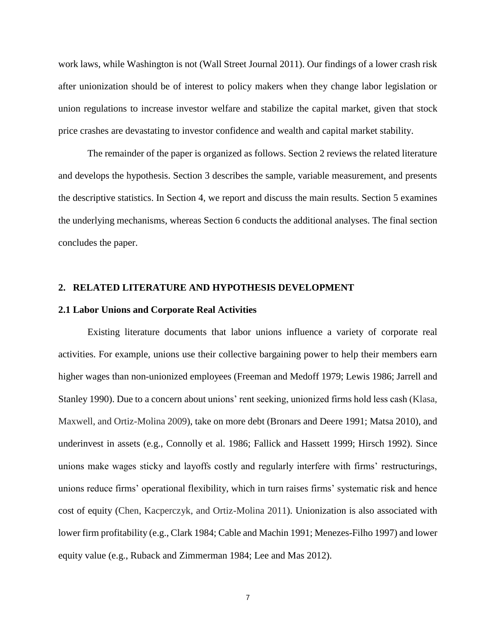work laws, while Washington is not (Wall Street Journal 2011). Our findings of a lower crash risk after unionization should be of interest to policy makers when they change labor legislation or union regulations to increase investor welfare and stabilize the capital market, given that stock price crashes are devastating to investor confidence and wealth and capital market stability.

The remainder of the paper is organized as follows. Section 2 reviews the related literature and develops the hypothesis. Section 3 describes the sample, variable measurement, and presents the descriptive statistics. In Section 4, we report and discuss the main results. Section 5 examines the underlying mechanisms, whereas Section 6 conducts the additional analyses. The final section concludes the paper.

#### **2. RELATED LITERATURE AND HYPOTHESIS DEVELOPMENT**

#### **2.1 Labor Unions and Corporate Real Activities**

Existing literature documents that labor unions influence a variety of corporate real activities. For example, unions use their collective bargaining power to help their members earn higher wages than non-unionized employees (Freeman and Medoff 1979; Lewis 1986; Jarrell and Stanley 1990). Due to a concern about unions' rent seeking, unionized firms hold less cash (Klasa, Maxwell, and Ortiz-Molina 2009), take on more debt (Bronars and Deere 1991; Matsa 2010), and underinvest in assets (e.g., Connolly et al. 1986; Fallick and Hassett 1999; Hirsch 1992). Since unions make wages sticky and layoffs costly and regularly interfere with firms' restructurings, unions reduce firms' operational flexibility, which in turn raises firms' systematic risk and hence cost of equity (Chen, Kacperczyk, and Ortiz-Molina 2011). Unionization is also associated with lower firm profitability (e.g., Clark 1984; Cable and Machin 1991; Menezes-Filho 1997) and lower equity value (e.g., Ruback and Zimmerman 1984; Lee and Mas 2012).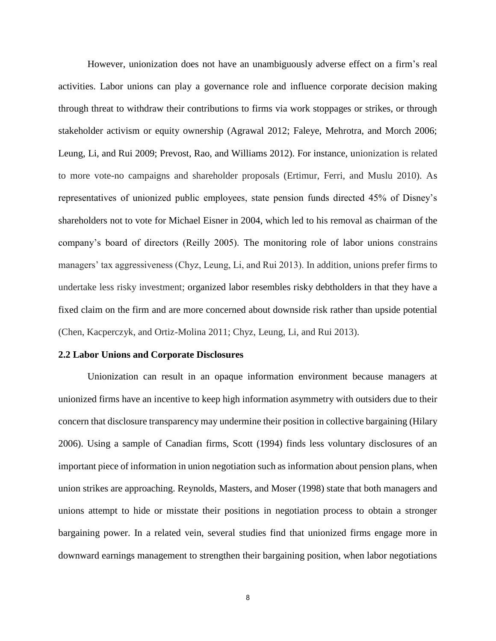However, unionization does not have an unambiguously adverse effect on a firm's real activities. Labor unions can play a governance role and influence corporate decision making through threat to withdraw their contributions to firms via work stoppages or strikes, or through stakeholder activism or equity ownership (Agrawal 2012; Faleye, Mehrotra, and Morch 2006; Leung, Li, and Rui 2009; Prevost, Rao, and Williams 2012). For instance, unionization is related to more vote-no campaigns and shareholder proposals (Ertimur, Ferri, and Muslu 2010). As representatives of unionized public employees, state pension funds directed 45% of Disney's shareholders not to vote for Michael Eisner in 2004, which led to his removal as chairman of the company's board of directors (Reilly 2005). The monitoring role of labor unions constrains managers' tax aggressiveness (Chyz, Leung, Li, and Rui 2013). In addition, unions prefer firms to undertake less risky investment; organized labor resembles risky debtholders in that they have a fixed claim on the firm and are more concerned about downside risk rather than upside potential (Chen, Kacperczyk, and Ortiz-Molina 2011; Chyz, Leung, Li, and Rui 2013).

#### **2.2 Labor Unions and Corporate Disclosures**

Unionization can result in an opaque information environment because managers at unionized firms have an incentive to keep high information asymmetry with outsiders due to their concern that disclosure transparency may undermine their position in collective bargaining (Hilary 2006). Using a sample of Canadian firms, Scott (1994) finds less voluntary disclosures of an important piece of information in union negotiation such as information about pension plans, when union strikes are approaching. Reynolds, Masters, and Moser (1998) state that both managers and unions attempt to hide or misstate their positions in negotiation process to obtain a stronger bargaining power. In a related vein, several studies find that unionized firms engage more in downward earnings management to strengthen their bargaining position, when labor negotiations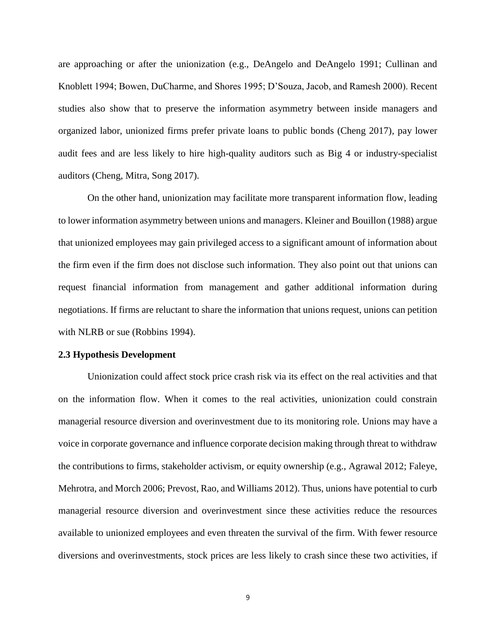are approaching or after the unionization (e.g., DeAngelo and DeAngelo 1991; Cullinan and Knoblett 1994; Bowen, DuCharme, and Shores 1995; D'Souza, Jacob, and Ramesh 2000). Recent studies also show that to preserve the information asymmetry between inside managers and organized labor, unionized firms prefer private loans to public bonds (Cheng 2017), pay lower audit fees and are less likely to hire high-quality auditors such as Big 4 or industry-specialist auditors (Cheng, Mitra, Song 2017).

On the other hand, unionization may facilitate more transparent information flow, leading to lower information asymmetry between unions and managers. Kleiner and Bouillon (1988) argue that unionized employees may gain privileged access to a significant amount of information about the firm even if the firm does not disclose such information. They also point out that unions can request financial information from management and gather additional information during negotiations. If firms are reluctant to share the information that unions request, unions can petition with NLRB or sue (Robbins 1994).

#### **2.3 Hypothesis Development**

Unionization could affect stock price crash risk via its effect on the real activities and that on the information flow. When it comes to the real activities, unionization could constrain managerial resource diversion and overinvestment due to its monitoring role. Unions may have a voice in corporate governance and influence corporate decision making through threat to withdraw the contributions to firms, stakeholder activism, or equity ownership (e.g., Agrawal 2012; Faleye, Mehrotra, and Morch 2006; Prevost, Rao, and Williams 2012). Thus, unions have potential to curb managerial resource diversion and overinvestment since these activities reduce the resources available to unionized employees and even threaten the survival of the firm. With fewer resource diversions and overinvestments, stock prices are less likely to crash since these two activities, if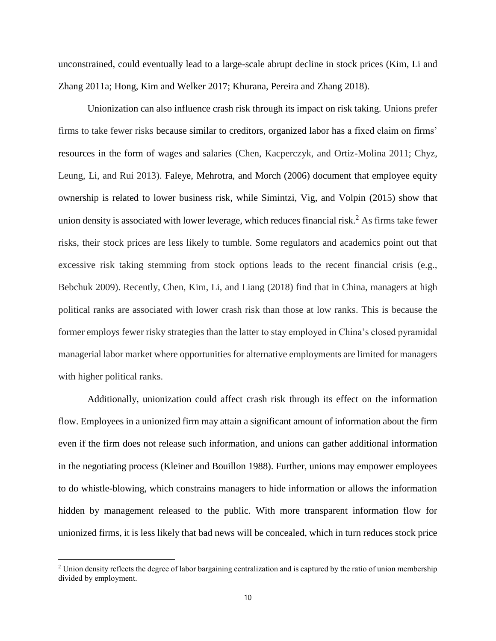unconstrained, could eventually lead to a large-scale abrupt decline in stock prices (Kim, Li and Zhang 2011a; Hong, Kim and Welker 2017; Khurana, Pereira and Zhang 2018).

Unionization can also influence crash risk through its impact on risk taking. Unions prefer firms to take fewer risks because similar to creditors, organized labor has a fixed claim on firms' resources in the form of wages and salaries (Chen, Kacperczyk, and Ortiz-Molina 2011; Chyz, Leung, Li, and Rui 2013). Faleye, Mehrotra, and Morch (2006) document that employee equity ownership is related to lower business risk, while Simintzi, Vig, and Volpin (2015) show that union density is associated with lower leverage, which reduces financial risk.<sup>2</sup> As firms take fewer risks, their stock prices are less likely to tumble. Some regulators and academics point out that excessive risk taking stemming from stock options leads to the recent financial crisis (e.g., Bebchuk 2009). Recently, Chen, Kim, Li, and Liang (2018) find that in China, managers at high political ranks are associated with lower crash risk than those at low ranks. This is because the former employs fewer risky strategies than the latter to stay employed in China's closed pyramidal managerial labor market where opportunities for alternative employments are limited for managers with higher political ranks.

Additionally, unionization could affect crash risk through its effect on the information flow. Employees in a unionized firm may attain a significant amount of information about the firm even if the firm does not release such information, and unions can gather additional information in the negotiating process (Kleiner and Bouillon 1988). Further, unions may empower employees to do whistle-blowing, which constrains managers to hide information or allows the information hidden by management released to the public. With more transparent information flow for unionized firms, it is less likely that bad news will be concealed, which in turn reduces stock price

 $\overline{a}$ 

<sup>&</sup>lt;sup>2</sup> Union density reflects the degree of labor bargaining centralization and is captured by the ratio of union membership divided by employment.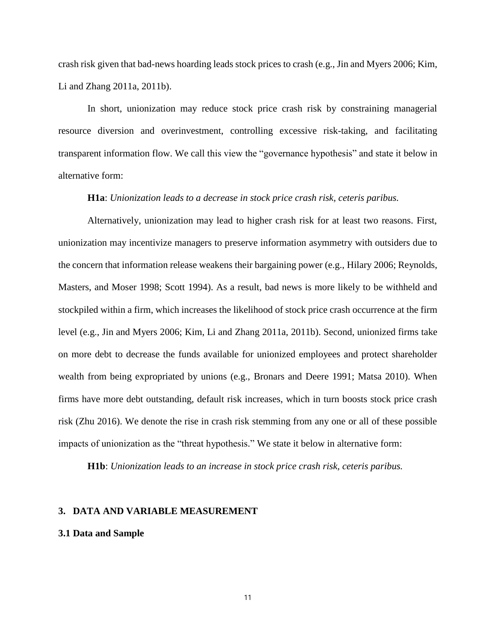crash risk given that bad-news hoarding leads stock prices to crash (e.g., Jin and Myers 2006; Kim, Li and Zhang 2011a, 2011b).

In short, unionization may reduce stock price crash risk by constraining managerial resource diversion and overinvestment, controlling excessive risk-taking, and facilitating transparent information flow. We call this view the "governance hypothesis" and state it below in alternative form:

## **H1a**: *Unionization leads to a decrease in stock price crash risk, ceteris paribus.*

Alternatively, unionization may lead to higher crash risk for at least two reasons. First, unionization may incentivize managers to preserve information asymmetry with outsiders due to the concern that information release weakens their bargaining power (e.g., Hilary 2006; Reynolds, Masters, and Moser 1998; Scott 1994). As a result, bad news is more likely to be withheld and stockpiled within a firm, which increases the likelihood of stock price crash occurrence at the firm level (e.g., Jin and Myers 2006; Kim, Li and Zhang 2011a, 2011b). Second, unionized firms take on more debt to decrease the funds available for unionized employees and protect shareholder wealth from being expropriated by unions (e.g., Bronars and Deere 1991; Matsa 2010). When firms have more debt outstanding, default risk increases, which in turn boosts stock price crash risk (Zhu 2016). We denote the rise in crash risk stemming from any one or all of these possible impacts of unionization as the "threat hypothesis." We state it below in alternative form:

**H1b**: *Unionization leads to an increase in stock price crash risk, ceteris paribus.*

#### **3. DATA AND VARIABLE MEASUREMENT**

## **3.1 Data and Sample**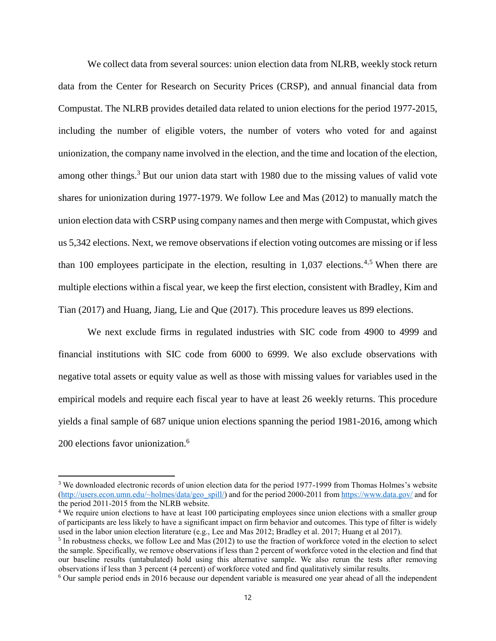We collect data from several sources: union election data from NLRB, weekly stock return data from the Center for Research on Security Prices (CRSP), and annual financial data from Compustat. The NLRB provides detailed data related to union elections for the period 1977-2015, including the number of eligible voters, the number of voters who voted for and against unionization, the company name involved in the election, and the time and location of the election, among other things.<sup>3</sup> But our union data start with 1980 due to the missing values of valid vote shares for unionization during 1977-1979. We follow Lee and Mas (2012) to manually match the union election data with CSRP using company names and then merge with Compustat, which gives us 5,342 elections. Next, we remove observations if election voting outcomes are missing or if less than 100 employees participate in the election, resulting in 1,037 elections.<sup>4,5</sup> When there are multiple elections within a fiscal year, we keep the first election, consistent with Bradley, Kim and Tian (2017) and Huang, Jiang, Lie and Que (2017). This procedure leaves us 899 elections.

We next exclude firms in regulated industries with SIC code from 4900 to 4999 and financial institutions with SIC code from 6000 to 6999. We also exclude observations with negative total assets or equity value as well as those with missing values for variables used in the empirical models and require each fiscal year to have at least 26 weekly returns. This procedure yields a final sample of 687 unique union elections spanning the period 1981-2016, among which 200 elections favor unionization.<sup>6</sup>

l

<sup>&</sup>lt;sup>3</sup> We downloaded electronic records of union election data for the period 1977-1999 from Thomas Holmes's website [\(http://users.econ.umn.edu/~holmes/data/geo\\_spill/\)](http://users.econ.umn.edu/~holmes/data/geo_spill/) and for the period 2000-2011 fro[m https://www.data.gov/](https://www.data.gov/) and for the period 2011-2015 from the NLRB website.

<sup>4</sup> We require union elections to have at least 100 participating employees since union elections with a smaller group of participants are less likely to have a significant impact on firm behavior and outcomes. This type of filter is widely used in the labor union election literature (e.g., Lee and Mas 2012; Bradley et al. 2017; Huang et al 2017).

<sup>&</sup>lt;sup>5</sup> In robustness checks, we follow Lee and Mas (2012) to use the fraction of workforce voted in the election to select the sample. Specifically, we remove observations if less than 2 percent of workforce voted in the election and find that our baseline results (untabulated) hold using this alternative sample. We also rerun the tests after removing observations if less than 3 percent (4 percent) of workforce voted and find qualitatively similar results.

<sup>6</sup> Our sample period ends in 2016 because our dependent variable is measured one year ahead of all the independent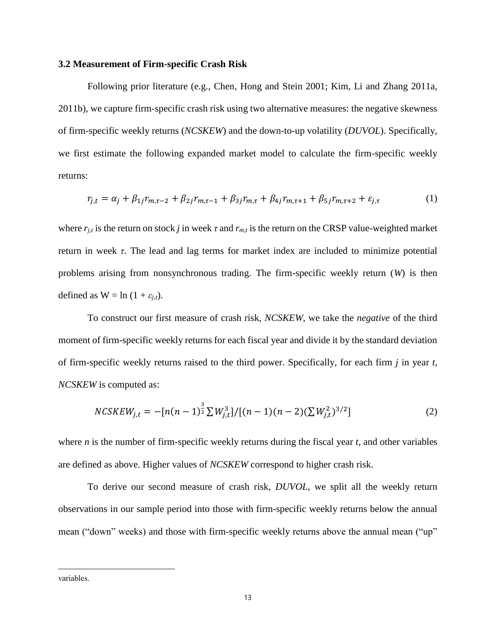#### **3.2 Measurement of Firm-specific Crash Risk**

Following prior literature (e.g., Chen, Hong and Stein 2001; Kim, Li and Zhang 2011a, 2011b), we capture firm-specific crash risk using two alternative measures: the negative skewness of firm-specific weekly returns (*NCSKEW*) and the down-to-up volatility (*DUVOL*). Specifically, we first estimate the following expanded market model to calculate the firm-specific weekly returns:

$$
r_{j,t} = \alpha_j + \beta_{1j} r_{m,\tau-2} + \beta_{2j} r_{m,\tau-1} + \beta_{3j} r_{m,\tau} + \beta_{4j} r_{m,\tau+1} + \beta_{5j} r_{m,\tau+2} + \varepsilon_{j,\tau}
$$
(1)

where  $r_{i,t}$  is the return on stock *j* in week  $\tau$  and  $r_{m,t}$  is the return on the CRSP value-weighted market return in week *τ*. The lead and lag terms for market index are included to minimize potential problems arising from nonsynchronous trading. The firm-specific weekly return (*W*) is then defined as  $W = \ln(1 + \varepsilon_{i,t})$ .

To construct our first measure of crash risk, *NCSKEW*, we take the *negative* of the third moment of firm-specific weekly returns for each fiscal year and divide it by the standard deviation of firm-specific weekly returns raised to the third power. Specifically, for each firm *j* in year *t*, *NCSKEW* is computed as:

$$
NCSKEW_{j,t} = -[n(n-1)^{\frac{3}{2}}\sum W_{j,t}^{3}]/[(n-1)(n-2)(\sum W_{j,t}^{2})^{3/2}]
$$
 (2)

where *n* is the number of firm-specific weekly returns during the fiscal year *t*, and other variables are defined as above. Higher values of *NCSKEW* correspond to higher crash risk.

To derive our second measure of crash risk, *DUVOL*, we split all the weekly return observations in our sample period into those with firm-specific weekly returns below the annual mean ("down" weeks) and those with firm-specific weekly returns above the annual mean ("up"

variables.

 $\overline{\phantom{a}}$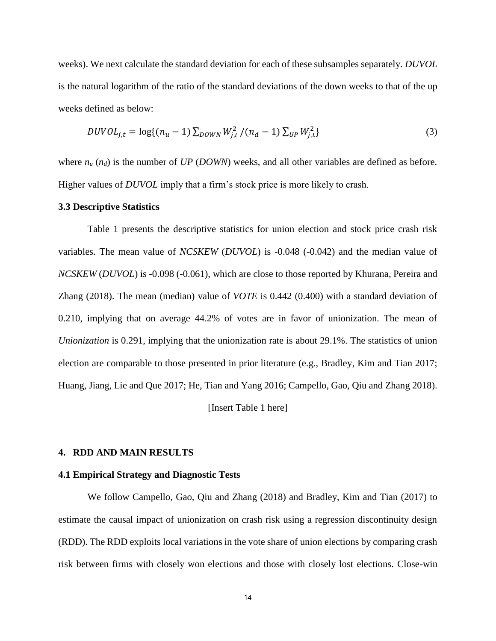weeks). We next calculate the standard deviation for each of these subsamples separately. *DUVOL* is the natural logarithm of the ratio of the standard deviations of the down weeks to that of the up weeks defined as below:

$$
DUVOL_{j,t} = \log((n_u - 1) \sum_{DOWN} W_{j,t}^2 / (n_d - 1) \sum_{UP} W_{j,t}^2)
$$
 (3)

where  $n_u$  ( $n_d$ ) is the number of *UP* (*DOWN*) weeks, and all other variables are defined as before. Higher values of *DUVOL* imply that a firm's stock price is more likely to crash.

#### **3.3 Descriptive Statistics**

Table 1 presents the descriptive statistics for union election and stock price crash risk variables. The mean value of *NCSKEW* (*DUVOL*) is -0.048 (-0.042) and the median value of *NCSKEW* (*DUVOL*) is -0.098 (-0.061), which are close to those reported by Khurana, Pereira and Zhang (2018). The mean (median) value of *VOTE* is 0.442 (0.400) with a standard deviation of 0.210, implying that on average 44.2% of votes are in favor of unionization. The mean of *Unionization* is 0.291, implying that the unionization rate is about 29.1%. The statistics of union election are comparable to those presented in prior literature (e.g., Bradley, Kim and Tian 2017; Huang, Jiang, Lie and Que 2017; He, Tian and Yang 2016; Campello, Gao, Qiu and Zhang 2018).

[Insert Table 1 here]

#### **4. RDD AND MAIN RESULTS**

#### **4.1 Empirical Strategy and Diagnostic Tests**

We follow Campello, Gao, Qiu and Zhang (2018) and Bradley, Kim and Tian (2017) to estimate the causal impact of unionization on crash risk using a regression discontinuity design (RDD). The RDD exploits local variations in the vote share of union elections by comparing crash risk between firms with closely won elections and those with closely lost elections. Close-win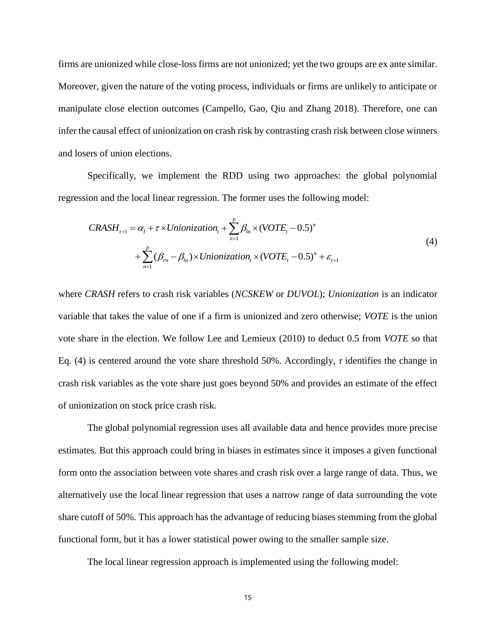firms are unionized while close-loss firms are not unionized; yet the two groups are ex ante similar. Moreover, given the nature of the voting process, individuals or firms are unlikely to anticipate or manipulate close election outcomes (Campello, Gao, Qiu and Zhang 2018). Therefore, one can infer the causal effect of unionization on crash risk by contrasting crash risk between close winners and losers of union elections.

Specifically, we implement the RDD using two approaches: the global polynomial

regression and the local linear regression. The former uses the following model:  
\n
$$
CRASH_{t+1} = \alpha_t + \tau \times Unionization_t + \sum_{n=1}^p \beta_{tn} \times (VOTE_t - 0.5)^n + \sum_{n=1}^p (\beta_m - \beta_{tn}) \times Unionization_t \times (VOTE_t - 0.5)^n + \varepsilon_{t+1}
$$
\n(4)

where *CRASH* refers to crash risk variables (*NCSKEW* or *DUVOL*); *Unionization* is an indicator variable that takes the value of one if a firm is unionized and zero otherwise; *VOTE* is the union vote share in the election. We follow Lee and Lemieux (2010) to deduct 0.5 from *VOTE* so that Eq. (4) is centered around the vote share threshold 50%. Accordingly,  $\tau$  identifies the change in crash risk variables as the vote share just goes beyond 50% and provides an estimate of the effect of unionization on stock price crash risk.

The global polynomial regression uses all available data and hence provides more precise estimates. But this approach could bring in biases in estimates since it imposes a given functional form onto the association between vote shares and crash risk over a large range of data. Thus, we alternatively use the local linear regression that uses a narrow range of data surrounding the vote share cutoff of 50%. This approach has the advantage of reducing biases stemming from the global functional form, but it has a lower statistical power owing to the smaller sample size.

The local linear regression approach is implemented using the following model: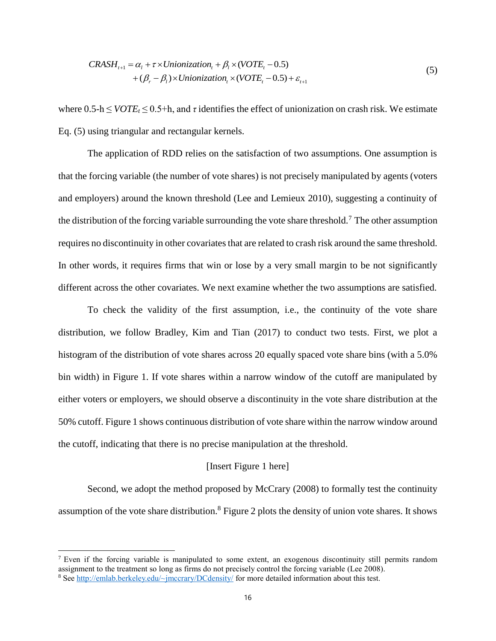$$
CRASH_{t+1} = \alpha_t + \tau \times Unionization_t + \beta_t \times (VOTE_t - 0.5)
$$
  
+  $(\beta_r - \beta_t) \times Unionization_t \times (VOTE_t - 0.5) + \varepsilon_{t+1}$  (5)

where  $0.5-h \leq VOTE_t \leq 0.5+h$ , and  $\tau$  identifies the effect of unionization on crash risk. We estimate Eq. (5) using triangular and rectangular kernels.

 $1 - u_i + v \times \text{Monomization}, + p_i \times \text{vol}(v_i + v_j + v_i + v_j + v_i + v_k)$ <br>+( $\beta_r - \beta_i$ ) × Unionization, × (VO<br>  $\text{OTE}_t \leq 0.5 + h$ , and *r* identifies the ungular and rectangular kernels.<br>
cation of RDD relies on the satis<br>
variable (the number of vot The application of RDD relies on the satisfaction of two assumptions. One assumption is that the forcing variable (the number of vote shares) is not precisely manipulated by agents (voters and employers) around the known threshold (Lee and Lemieux 2010), suggesting a continuity of the distribution of the forcing variable surrounding the vote share threshold.<sup>7</sup> The other assumption requires no discontinuity in other covariates that are related to crash risk around the same threshold. In other words, it requires firms that win or lose by a very small margin to be not significantly different across the other covariates. We next examine whether the two assumptions are satisfied.

To check the validity of the first assumption, i.e., the continuity of the vote share distribution, we follow Bradley, Kim and Tian (2017) to conduct two tests. First, we plot a histogram of the distribution of vote shares across 20 equally spaced vote share bins (with a 5.0% bin width) in Figure 1. If vote shares within a narrow window of the cutoff are manipulated by either voters or employers, we should observe a discontinuity in the vote share distribution at the 50% cutoff. Figure 1 shows continuous distribution of vote share within the narrow window around the cutoff, indicating that there is no precise manipulation at the threshold.

## [Insert Figure 1 here]

Second, we adopt the method proposed by McCrary (2008) to formally test the continuity assumption of the vote share distribution.<sup>8</sup> Figure 2 plots the density of union vote shares. It shows

 $\overline{\phantom{a}}$ 

<sup>&</sup>lt;sup>7</sup> Even if the forcing variable is manipulated to some extent, an exogenous discontinuity still permits random assignment to the treatment so long as firms do not precisely control the forcing variable (Lee 2008).

<sup>8</sup> Se[e http://emlab.berkeley.edu/~jmccrary/DCdensity/](http://emlab.berkeley.edu/~jmccrary/DCdensity/) for more detailed information about this test.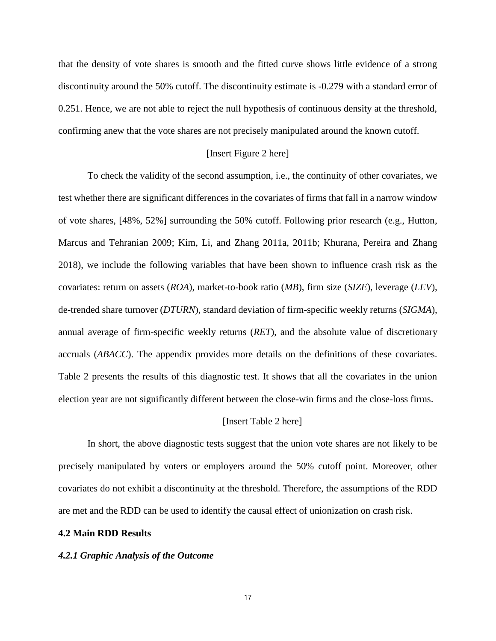that the density of vote shares is smooth and the fitted curve shows little evidence of a strong discontinuity around the 50% cutoff. The discontinuity estimate is -0.279 with a standard error of 0.251. Hence, we are not able to reject the null hypothesis of continuous density at the threshold, confirming anew that the vote shares are not precisely manipulated around the known cutoff.

## [Insert Figure 2 here]

To check the validity of the second assumption, i.e., the continuity of other covariates, we test whether there are significant differences in the covariates of firms that fall in a narrow window of vote shares, [48%, 52%] surrounding the 50% cutoff. Following prior research (e.g., Hutton, Marcus and Tehranian 2009; Kim, Li, and Zhang 2011a, 2011b; Khurana, Pereira and Zhang 2018), we include the following variables that have been shown to influence crash risk as the covariates: return on assets (*ROA*), market-to-book ratio (*MB*), firm size (*SIZE*), leverage (*LEV*), de-trended share turnover (*DTURN*), standard deviation of firm-specific weekly returns (*SIGMA*), annual average of firm-specific weekly returns (*RET*), and the absolute value of discretionary accruals (*ABACC*). The appendix provides more details on the definitions of these covariates. Table 2 presents the results of this diagnostic test. It shows that all the covariates in the union election year are not significantly different between the close-win firms and the close-loss firms.

#### [Insert Table 2 here]

In short, the above diagnostic tests suggest that the union vote shares are not likely to be precisely manipulated by voters or employers around the 50% cutoff point. Moreover, other covariates do not exhibit a discontinuity at the threshold. Therefore, the assumptions of the RDD are met and the RDD can be used to identify the causal effect of unionization on crash risk.

#### **4.2 Main RDD Results**

#### *4.2.1 Graphic Analysis of the Outcome*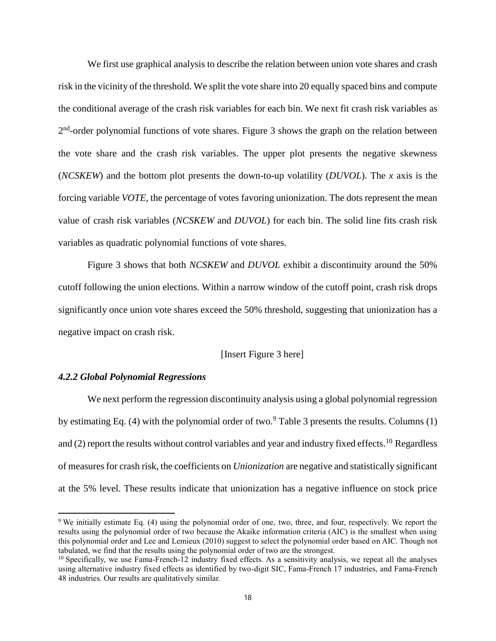We first use graphical analysis to describe the relation between union vote shares and crash risk in the vicinity of the threshold. We split the vote share into 20 equally spaced bins and compute the conditional average of the crash risk variables for each bin. We next fit crash risk variables as 2<sup>nd</sup>-order polynomial functions of vote shares. Figure 3 shows the graph on the relation between the vote share and the crash risk variables. The upper plot presents the negative skewness (*NCSKEW*) and the bottom plot presents the down-to-up volatility (*DUVOL*). The *x* axis is the forcing variable *VOTE*, the percentage of votes favoring unionization. The dots represent the mean value of crash risk variables (*NCSKEW* and *DUVOL*) for each bin. The solid line fits crash risk variables as quadratic polynomial functions of vote shares.

Figure 3 shows that both *NCSKEW* and *DUVOL* exhibit a discontinuity around the 50% cutoff following the union elections. Within a narrow window of the cutoff point, crash risk drops significantly once union vote shares exceed the 50% threshold, suggesting that unionization has a negative impact on crash risk.

## [Insert Figure 3 here]

### *4.2.2 Global Polynomial Regressions*

 $\overline{\phantom{a}}$ 

We next perform the regression discontinuity analysis using a global polynomial regression by estimating Eq. (4) with the polynomial order of two.<sup>9</sup> Table 3 presents the results. Columns (1) and (2) report the results without control variables and year and industry fixed effects.<sup>10</sup> Regardless of measures for crash risk, the coefficients on *Unionization* are negative and statistically significant at the 5% level. These results indicate that unionization has a negative influence on stock price

<sup>9</sup> We initially estimate Eq. (4) using the polynomial order of one, two, three, and four, respectively. We report the results using the polynomial order of two because the Akaike information criteria (AIC) is the smallest when using this polynomial order and Lee and Lemieux (2010) suggest to select the polynomial order based on AIC. Though not tabulated, we find that the results using the polynomial order of two are the strongest.

 $10$  Specifically, we use Fama-French-12 industry fixed effects. As a sensitivity analysis, we repeat all the analyses using alternative industry fixed effects as identified by two-digit SIC, Fama-French 17 industries, and Fama-French 48 industries. Our results are qualitatively similar.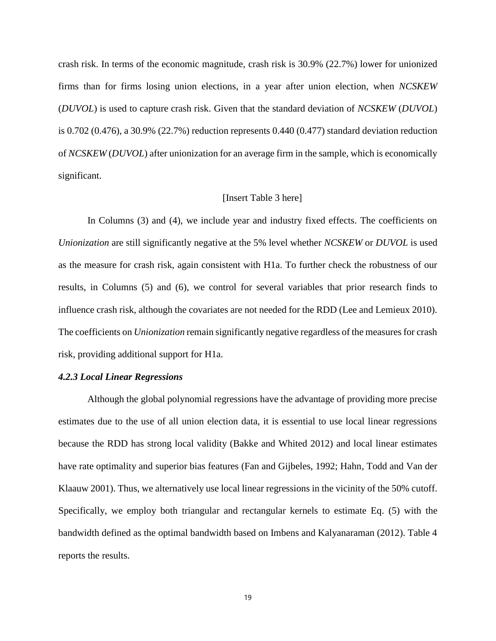crash risk. In terms of the economic magnitude, crash risk is 30.9% (22.7%) lower for unionized firms than for firms losing union elections, in a year after union election, when *NCSKEW* (*DUVOL*) is used to capture crash risk. Given that the standard deviation of *NCSKEW* (*DUVOL*) is 0.702 (0.476), a 30.9% (22.7%) reduction represents 0.440 (0.477) standard deviation reduction of *NCSKEW* (*DUVOL*) after unionization for an average firm in the sample, which is economically significant.

## [Insert Table 3 here]

In Columns (3) and (4), we include year and industry fixed effects. The coefficients on *Unionization* are still significantly negative at the 5% level whether *NCSKEW* or *DUVOL* is used as the measure for crash risk, again consistent with H1a. To further check the robustness of our results, in Columns (5) and (6), we control for several variables that prior research finds to influence crash risk, although the covariates are not needed for the RDD (Lee and Lemieux 2010). The coefficients on *Unionization* remain significantly negative regardless of the measures for crash risk, providing additional support for H1a.

### *4.2.3 Local Linear Regressions*

Although the global polynomial regressions have the advantage of providing more precise estimates due to the use of all union election data, it is essential to use local linear regressions because the RDD has strong local validity (Bakke and Whited 2012) and local linear estimates have rate optimality and superior bias features (Fan and Gijbeles, 1992; Hahn, Todd and Van der Klaauw 2001). Thus, we alternatively use local linear regressions in the vicinity of the 50% cutoff. Specifically, we employ both triangular and rectangular kernels to estimate Eq. (5) with the bandwidth defined as the optimal bandwidth based on Imbens and Kalyanaraman (2012). Table 4 reports the results.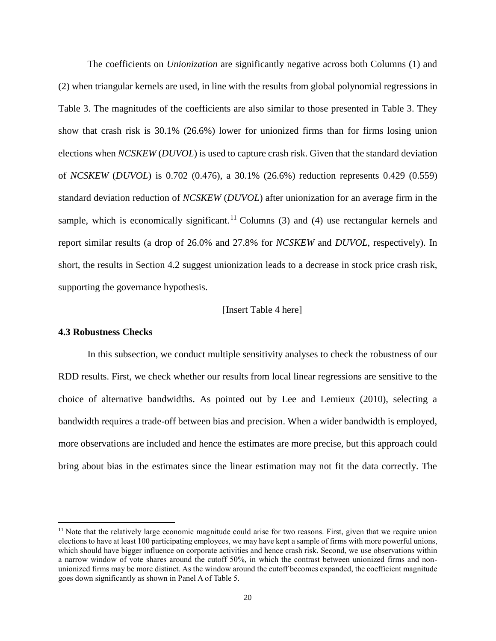The coefficients on *Unionization* are significantly negative across both Columns (1) and (2) when triangular kernels are used, in line with the results from global polynomial regressions in Table 3. The magnitudes of the coefficients are also similar to those presented in Table 3. They show that crash risk is 30.1% (26.6%) lower for unionized firms than for firms losing union elections when *NCSKEW* (*DUVOL*) is used to capture crash risk. Given that the standard deviation of *NCSKEW* (*DUVOL*) is 0.702 (0.476), a 30.1% (26.6%) reduction represents 0.429 (0.559) standard deviation reduction of *NCSKEW* (*DUVOL*) after unionization for an average firm in the sample, which is economically significant.<sup>11</sup> Columns  $(3)$  and  $(4)$  use rectangular kernels and report similar results (a drop of 26.0% and 27.8% for *NCSKEW* and *DUVOL*, respectively). In short, the results in Section 4.2 suggest unionization leads to a decrease in stock price crash risk, supporting the governance hypothesis.

#### [Insert Table 4 here]

#### **4.3 Robustness Checks**

 $\overline{\phantom{a}}$ 

In this subsection, we conduct multiple sensitivity analyses to check the robustness of our RDD results. First, we check whether our results from local linear regressions are sensitive to the choice of alternative bandwidths. As pointed out by Lee and Lemieux (2010), selecting a bandwidth requires a trade-off between bias and precision. When a wider bandwidth is employed, more observations are included and hence the estimates are more precise, but this approach could bring about bias in the estimates since the linear estimation may not fit the data correctly. The

 $11$  Note that the relatively large economic magnitude could arise for two reasons. First, given that we require union elections to have at least 100 participating employees, we may have kept a sample of firms with more powerful unions, which should have bigger influence on corporate activities and hence crash risk. Second, we use observations within a narrow window of vote shares around the cutoff 50%, in which the contrast between unionized firms and nonunionized firms may be more distinct. As the window around the cutoff becomes expanded, the coefficient magnitude goes down significantly as shown in Panel A of Table 5.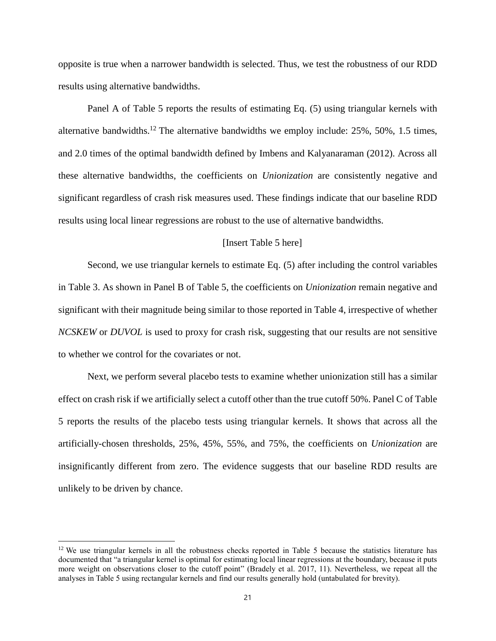opposite is true when a narrower bandwidth is selected. Thus, we test the robustness of our RDD results using alternative bandwidths.

Panel A of Table 5 reports the results of estimating Eq. (5) using triangular kernels with alternative bandwidths.<sup>12</sup> The alternative bandwidths we employ include:  $25\%$ ,  $50\%$ ,  $1.5$  times, and 2.0 times of the optimal bandwidth defined by Imbens and Kalyanaraman (2012). Across all these alternative bandwidths, the coefficients on *Unionization* are consistently negative and significant regardless of crash risk measures used. These findings indicate that our baseline RDD results using local linear regressions are robust to the use of alternative bandwidths.

### [Insert Table 5 here]

Second, we use triangular kernels to estimate Eq. (5) after including the control variables in Table 3. As shown in Panel B of Table 5, the coefficients on *Unionization* remain negative and significant with their magnitude being similar to those reported in Table 4, irrespective of whether *NCSKEW* or *DUVOL* is used to proxy for crash risk, suggesting that our results are not sensitive to whether we control for the covariates or not.

Next, we perform several placebo tests to examine whether unionization still has a similar effect on crash risk if we artificially select a cutoff other than the true cutoff 50%. Panel C of Table 5 reports the results of the placebo tests using triangular kernels. It shows that across all the artificially-chosen thresholds, 25%, 45%, 55%, and 75%, the coefficients on *Unionization* are insignificantly different from zero. The evidence suggests that our baseline RDD results are unlikely to be driven by chance.

 $\overline{a}$ 

<sup>&</sup>lt;sup>12</sup> We use triangular kernels in all the robustness checks reported in Table 5 because the statistics literature has documented that "a triangular kernel is optimal for estimating local linear regressions at the boundary, because it puts more weight on observations closer to the cutoff point" (Bradely et al. 2017, 11). Nevertheless, we repeat all the analyses in Table 5 using rectangular kernels and find our results generally hold (untabulated for brevity).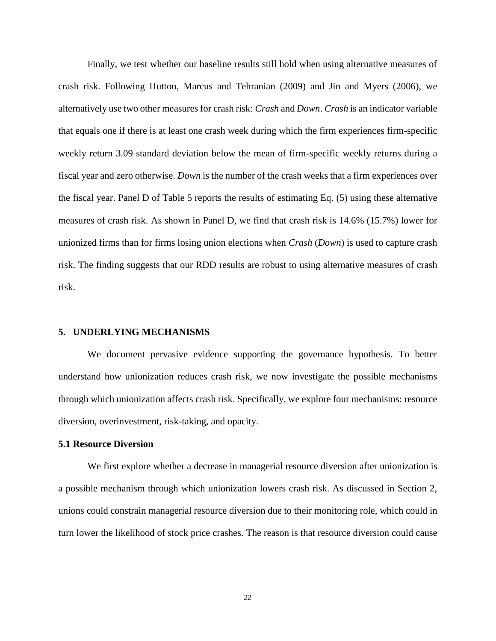Finally, we test whether our baseline results still hold when using alternative measures of crash risk. Following Hutton, Marcus and Tehranian (2009) and Jin and Myers (2006), we alternatively use two other measures for crash risk: *Crash* and *Down*. *Crash* is an indicator variable that equals one if there is at least one crash week during which the firm experiences firm-specific weekly return 3.09 standard deviation below the mean of firm-specific weekly returns during a fiscal year and zero otherwise. *Down* is the number of the crash weeks that a firm experiences over the fiscal year. Panel D of Table 5 reports the results of estimating Eq. (5) using these alternative measures of crash risk. As shown in Panel D, we find that crash risk is 14.6% (15.7%) lower for unionized firms than for firms losing union elections when *Crash* (*Down*) is used to capture crash risk. The finding suggests that our RDD results are robust to using alternative measures of crash risk.

#### **5. UNDERLYING MECHANISMS**

We document pervasive evidence supporting the governance hypothesis. To better understand how unionization reduces crash risk, we now investigate the possible mechanisms through which unionization affects crash risk. Specifically, we explore four mechanisms: resource diversion, overinvestment, risk-taking, and opacity.

#### **5.1 Resource Diversion**

We first explore whether a decrease in managerial resource diversion after unionization is a possible mechanism through which unionization lowers crash risk. As discussed in Section 2, unions could constrain managerial resource diversion due to their monitoring role, which could in turn lower the likelihood of stock price crashes. The reason is that resource diversion could cause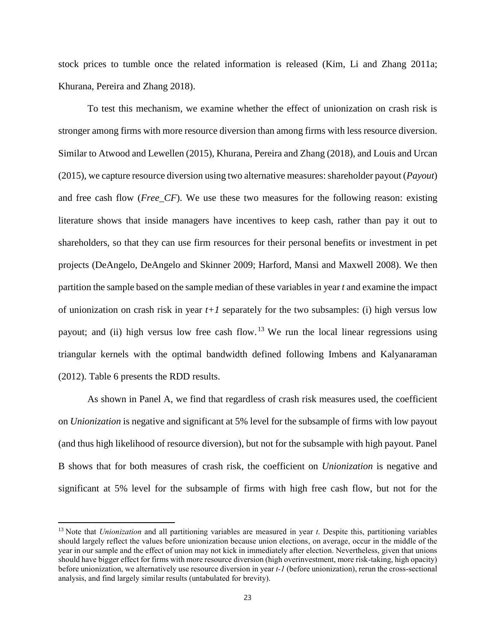stock prices to tumble once the related information is released (Kim, Li and Zhang 2011a; Khurana, Pereira and Zhang 2018).

To test this mechanism, we examine whether the effect of unionization on crash risk is stronger among firms with more resource diversion than among firms with less resource diversion. Similar to Atwood and Lewellen (2015), Khurana, Pereira and Zhang (2018), and Louis and Urcan (2015), we capture resource diversion using two alternative measures: shareholder payout (*Payout*) and free cash flow (*Free\_CF*). We use these two measures for the following reason: existing literature shows that inside managers have incentives to keep cash, rather than pay it out to shareholders, so that they can use firm resources for their personal benefits or investment in pet projects (DeAngelo, DeAngelo and Skinner 2009; Harford, Mansi and Maxwell 2008). We then partition the sample based on the sample median of these variables in year *t* and examine the impact of unionization on crash risk in year  $t+1$  separately for the two subsamples: (i) high versus low payout; and (ii) high versus low free cash flow.<sup>13</sup> We run the local linear regressions using triangular kernels with the optimal bandwidth defined following Imbens and Kalyanaraman (2012). Table 6 presents the RDD results.

As shown in Panel A, we find that regardless of crash risk measures used, the coefficient on *Unionization* is negative and significant at 5% level for the subsample of firms with low payout (and thus high likelihood of resource diversion), but not for the subsample with high payout. Panel B shows that for both measures of crash risk, the coefficient on *Unionization* is negative and significant at 5% level for the subsample of firms with high free cash flow, but not for the

 $\overline{\phantom{a}}$ 

<sup>13</sup> Note that *Unionization* and all partitioning variables are measured in year *t*. Despite this, partitioning variables should largely reflect the values before unionization because union elections, on average, occur in the middle of the year in our sample and the effect of union may not kick in immediately after election. Nevertheless, given that unions should have bigger effect for firms with more resource diversion (high overinvestment, more risk-taking, high opacity) before unionization, we alternatively use resource diversion in year *t-1* (before unionization), rerun the cross-sectional analysis, and find largely similar results (untabulated for brevity).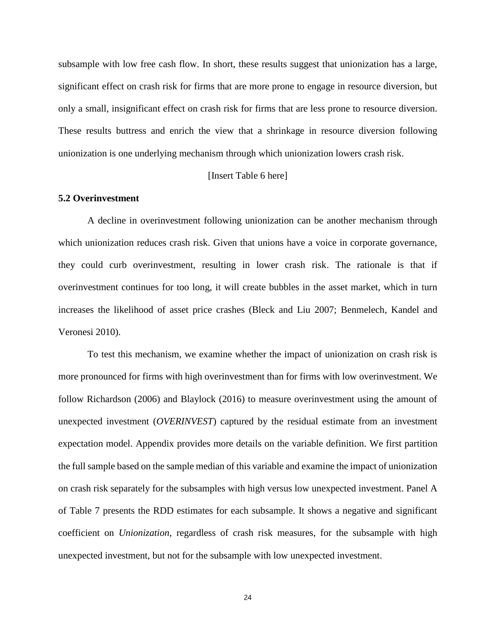subsample with low free cash flow. In short, these results suggest that unionization has a large, significant effect on crash risk for firms that are more prone to engage in resource diversion, but only a small, insignificant effect on crash risk for firms that are less prone to resource diversion. These results buttress and enrich the view that a shrinkage in resource diversion following unionization is one underlying mechanism through which unionization lowers crash risk.

## [Insert Table 6 here]

#### **5.2 Overinvestment**

A decline in overinvestment following unionization can be another mechanism through which unionization reduces crash risk. Given that unions have a voice in corporate governance, they could curb overinvestment, resulting in lower crash risk. The rationale is that if overinvestment continues for too long, it will create bubbles in the asset market, which in turn increases the likelihood of asset price crashes (Bleck and Liu 2007; Benmelech, Kandel and Veronesi 2010).

To test this mechanism, we examine whether the impact of unionization on crash risk is more pronounced for firms with high overinvestment than for firms with low overinvestment. We follow Richardson (2006) and Blaylock (2016) to measure overinvestment using the amount of unexpected investment (*OVERINVEST*) captured by the residual estimate from an investment expectation model. Appendix provides more details on the variable definition. We first partition the full sample based on the sample median of this variable and examine the impact of unionization on crash risk separately for the subsamples with high versus low unexpected investment. Panel A of Table 7 presents the RDD estimates for each subsample. It shows a negative and significant coefficient on *Unionization*, regardless of crash risk measures, for the subsample with high unexpected investment, but not for the subsample with low unexpected investment.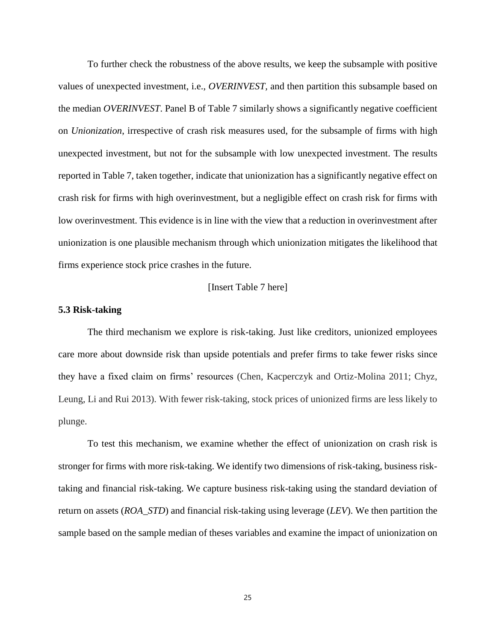To further check the robustness of the above results, we keep the subsample with positive values of unexpected investment, i.e., *OVERINVEST,* and then partition this subsample based on the median *OVERINVEST*. Panel B of Table 7 similarly shows a significantly negative coefficient on *Unionization*, irrespective of crash risk measures used, for the subsample of firms with high unexpected investment, but not for the subsample with low unexpected investment. The results reported in Table 7, taken together, indicate that unionization has a significantly negative effect on crash risk for firms with high overinvestment, but a negligible effect on crash risk for firms with low overinvestment. This evidence is in line with the view that a reduction in overinvestment after unionization is one plausible mechanism through which unionization mitigates the likelihood that firms experience stock price crashes in the future.

## [Insert Table 7 here]

## **5.3 Risk-taking**

The third mechanism we explore is risk-taking. Just like creditors, unionized employees care more about downside risk than upside potentials and prefer firms to take fewer risks since they have a fixed claim on firms' resources (Chen, Kacperczyk and Ortiz-Molina 2011; Chyz, Leung, Li and Rui 2013). With fewer risk-taking, stock prices of unionized firms are less likely to plunge.

To test this mechanism, we examine whether the effect of unionization on crash risk is stronger for firms with more risk-taking. We identify two dimensions of risk-taking, business risktaking and financial risk-taking. We capture business risk-taking using the standard deviation of return on assets (*ROA\_STD*) and financial risk-taking using leverage (*LEV*). We then partition the sample based on the sample median of theses variables and examine the impact of unionization on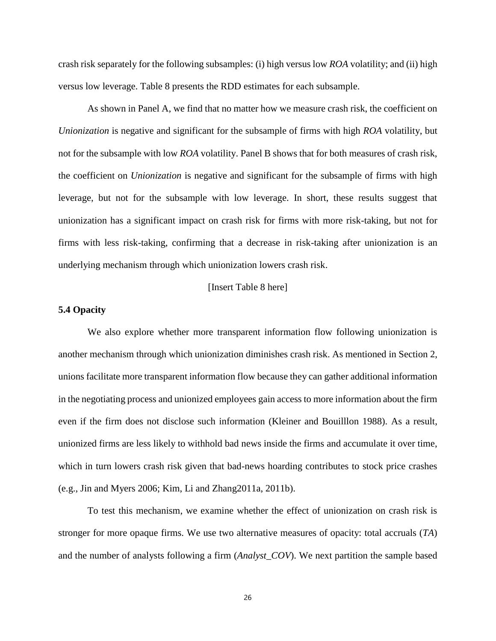crash risk separately for the following subsamples: (i) high versus low *ROA* volatility; and (ii) high versus low leverage. Table 8 presents the RDD estimates for each subsample.

As shown in Panel A, we find that no matter how we measure crash risk, the coefficient on *Unionization* is negative and significant for the subsample of firms with high *ROA* volatility, but not for the subsample with low *ROA* volatility. Panel B shows that for both measures of crash risk, the coefficient on *Unionization* is negative and significant for the subsample of firms with high leverage, but not for the subsample with low leverage. In short, these results suggest that unionization has a significant impact on crash risk for firms with more risk-taking, but not for firms with less risk-taking, confirming that a decrease in risk-taking after unionization is an underlying mechanism through which unionization lowers crash risk.

[Insert Table 8 here]

## **5.4 Opacity**

We also explore whether more transparent information flow following unionization is another mechanism through which unionization diminishes crash risk. As mentioned in Section 2, unions facilitate more transparent information flow because they can gather additional information in the negotiating process and unionized employees gain access to more information about the firm even if the firm does not disclose such information (Kleiner and Bouilllon 1988). As a result, unionized firms are less likely to withhold bad news inside the firms and accumulate it over time, which in turn lowers crash risk given that bad-news hoarding contributes to stock price crashes (e.g., Jin and Myers 2006; Kim, Li and Zhang2011a, 2011b).

To test this mechanism, we examine whether the effect of unionization on crash risk is stronger for more opaque firms. We use two alternative measures of opacity: total accruals (*TA*) and the number of analysts following a firm (*Analyst\_COV*). We next partition the sample based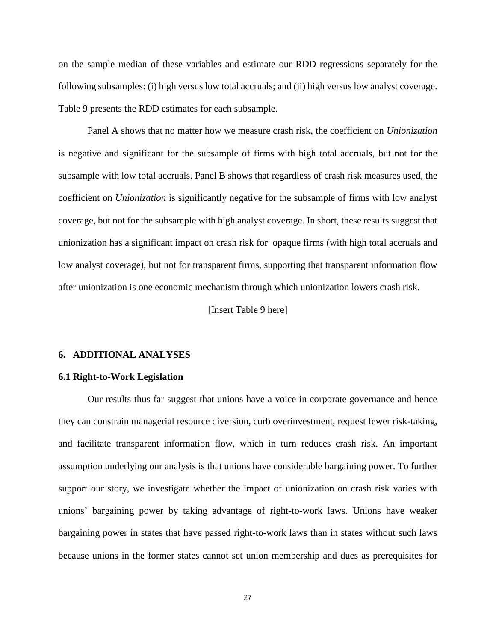on the sample median of these variables and estimate our RDD regressions separately for the following subsamples: (i) high versus low total accruals; and (ii) high versus low analyst coverage. Table 9 presents the RDD estimates for each subsample.

Panel A shows that no matter how we measure crash risk, the coefficient on *Unionization* is negative and significant for the subsample of firms with high total accruals, but not for the subsample with low total accruals. Panel B shows that regardless of crash risk measures used, the coefficient on *Unionization* is significantly negative for the subsample of firms with low analyst coverage, but not for the subsample with high analyst coverage. In short, these results suggest that unionization has a significant impact on crash risk for opaque firms (with high total accruals and low analyst coverage), but not for transparent firms, supporting that transparent information flow after unionization is one economic mechanism through which unionization lowers crash risk.

[Insert Table 9 here]

#### **6. ADDITIONAL ANALYSES**

### **6.1 Right-to-Work Legislation**

Our results thus far suggest that unions have a voice in corporate governance and hence they can constrain managerial resource diversion, curb overinvestment, request fewer risk-taking, and facilitate transparent information flow, which in turn reduces crash risk. An important assumption underlying our analysis is that unions have considerable bargaining power. To further support our story, we investigate whether the impact of unionization on crash risk varies with unions' bargaining power by taking advantage of right-to-work laws. Unions have weaker bargaining power in states that have passed right-to-work laws than in states without such laws because unions in the former states cannot set union membership and dues as prerequisites for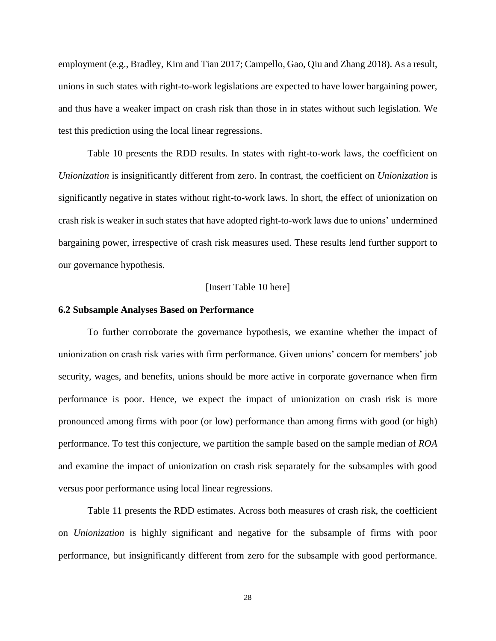employment (e.g., Bradley, Kim and Tian 2017; Campello, Gao, Qiu and Zhang 2018). As a result, unions in such states with right-to-work legislations are expected to have lower bargaining power, and thus have a weaker impact on crash risk than those in in states without such legislation. We test this prediction using the local linear regressions.

Table 10 presents the RDD results. In states with right-to-work laws, the coefficient on *Unionization* is insignificantly different from zero. In contrast, the coefficient on *Unionization* is significantly negative in states without right-to-work laws. In short, the effect of unionization on crash risk is weaker in such states that have adopted right-to-work laws due to unions' undermined bargaining power, irrespective of crash risk measures used. These results lend further support to our governance hypothesis.

## [Insert Table 10 here]

## **6.2 Subsample Analyses Based on Performance**

To further corroborate the governance hypothesis, we examine whether the impact of unionization on crash risk varies with firm performance. Given unions' concern for members' job security, wages, and benefits, unions should be more active in corporate governance when firm performance is poor. Hence, we expect the impact of unionization on crash risk is more pronounced among firms with poor (or low) performance than among firms with good (or high) performance. To test this conjecture, we partition the sample based on the sample median of *ROA* and examine the impact of unionization on crash risk separately for the subsamples with good versus poor performance using local linear regressions.

Table 11 presents the RDD estimates. Across both measures of crash risk, the coefficient on *Unionization* is highly significant and negative for the subsample of firms with poor performance, but insignificantly different from zero for the subsample with good performance.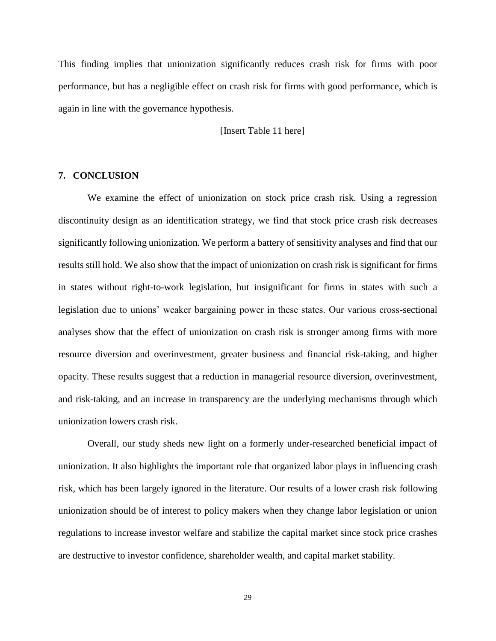This finding implies that unionization significantly reduces crash risk for firms with poor performance, but has a negligible effect on crash risk for firms with good performance, which is again in line with the governance hypothesis.

[Insert Table 11 here]

## **7. CONCLUSION**

We examine the effect of unionization on stock price crash risk. Using a regression discontinuity design as an identification strategy, we find that stock price crash risk decreases significantly following unionization. We perform a battery of sensitivity analyses and find that our results still hold. We also show that the impact of unionization on crash risk is significant for firms in states without right-to-work legislation, but insignificant for firms in states with such a legislation due to unions' weaker bargaining power in these states. Our various cross-sectional analyses show that the effect of unionization on crash risk is stronger among firms with more resource diversion and overinvestment, greater business and financial risk-taking, and higher opacity. These results suggest that a reduction in managerial resource diversion, overinvestment, and risk-taking, and an increase in transparency are the underlying mechanisms through which unionization lowers crash risk.

Overall, our study sheds new light on a formerly under-researched beneficial impact of unionization. It also highlights the important role that organized labor plays in influencing crash risk, which has been largely ignored in the literature. Our results of a lower crash risk following unionization should be of interest to policy makers when they change labor legislation or union regulations to increase investor welfare and stabilize the capital market since stock price crashes are destructive to investor confidence, shareholder wealth, and capital market stability.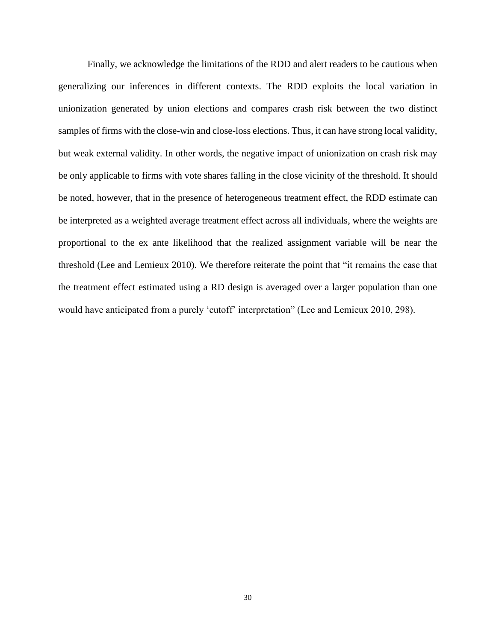Finally, we acknowledge the limitations of the RDD and alert readers to be cautious when generalizing our inferences in different contexts. The RDD exploits the local variation in unionization generated by union elections and compares crash risk between the two distinct samples of firms with the close-win and close-loss elections. Thus, it can have strong local validity, but weak external validity. In other words, the negative impact of unionization on crash risk may be only applicable to firms with vote shares falling in the close vicinity of the threshold. It should be noted, however, that in the presence of heterogeneous treatment effect, the RDD estimate can be interpreted as a weighted average treatment effect across all individuals, where the weights are proportional to the ex ante likelihood that the realized assignment variable will be near the threshold (Lee and Lemieux 2010). We therefore reiterate the point that "it remains the case that the treatment effect estimated using a RD design is averaged over a larger population than one would have anticipated from a purely 'cutoff' interpretation" (Lee and Lemieux 2010, 298).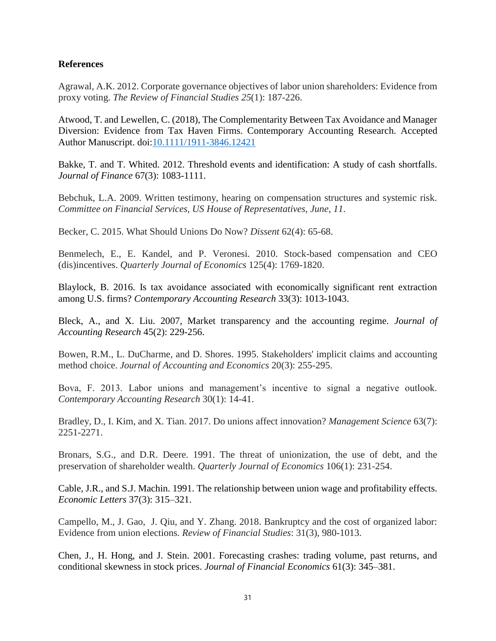## **References**

Agrawal, A.K. 2012. Corporate governance objectives of labor union shareholders: Evidence from proxy voting. *The Review of Financial Studies 25*(1): 187-226.

Atwood, T. and Lewellen, C. (2018), The Complementarity Between Tax Avoidance and Manager Diversion: Evidence from Tax Haven Firms. Contemporary Accounting Research. Accepted Author Manuscript. doi[:10.1111/1911-3846.12421](https://doi.org/10.1111/1911-3846.12421)

Bakke, T. and T. Whited. 2012. Threshold events and identification: A study of cash shortfalls. *Journal of Finance* 67(3): 1083-1111.

Bebchuk, L.A. 2009. Written testimony, hearing on compensation structures and systemic risk. *Committee on Financial Services, US House of Representatives, June*, *11*.

Becker, C. 2015. What Should Unions Do Now? *Dissent* 62(4): 65-68.

Benmelech, E., E. Kandel, and P. Veronesi. 2010. Stock-based compensation and CEO (dis)incentives. *Quarterly Journal of Economics* 125(4): 1769-1820.

Blaylock, B. 2016. Is tax avoidance associated with economically significant rent extraction among U.S. firms? *Contemporary Accounting Research* 33(3): 1013-1043.

Bleck, A., and X. Liu. 2007, Market transparency and the accounting regime. *Journal of Accounting Research* 45(2): 229-256.

Bowen, R.M., L. DuCharme, and D. Shores. 1995. Stakeholders' implicit claims and accounting method choice. *Journal of Accounting and Economics* 20(3): 255-295.

Bova, F. 2013. Labor unions and management's incentive to signal a negative outlook. *Contemporary Accounting Research* 30(1): 14-41.

Bradley, D., I. Kim, and X. Tian. 2017. Do unions affect innovation? *Management Science* 63(7): 2251-2271.

Bronars, S.G., and D.R. Deere. 1991. The threat of unionization, the use of debt, and the preservation of shareholder wealth. *Quarterly Journal of Economics* 106(1): 231-254.

Cable, J.R., and S.J. Machin. 1991. The relationship between union wage and profitability effects. *Economic Letters* 37(3): 315–321.

Campello, M., J. Gao, J. Qiu, and Y. Zhang. 2018. Bankruptcy and the cost of organized labor: Evidence from union elections. *Review of Financial Studies*: 31(3), 980-1013.

Chen, J., H. Hong, and J. Stein. 2001. Forecasting crashes: trading volume, past returns, and conditional skewness in stock prices. *Journal of Financial Economics* 61(3): 345–381.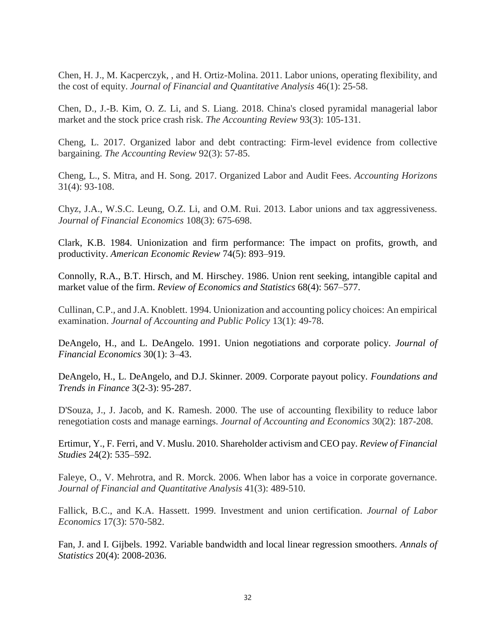Chen, H. J., M. Kacperczyk, , and H. Ortiz-Molina. 2011. Labor unions, operating flexibility, and the cost of equity. *Journal of Financial and Quantitative Analysis* 46(1): 25-58.

Chen, D., J.-B. Kim, O. Z. Li, and S. Liang. 2018. China's closed pyramidal managerial labor market and the stock price crash risk. *The Accounting Review* 93(3): 105-131.

Cheng, L. 2017. Organized labor and debt contracting: Firm-level evidence from collective bargaining. *The Accounting Review* 92(3): 57-85.

Cheng, L., S. Mitra, and H. Song. 2017. Organized Labor and Audit Fees. *Accounting Horizons* 31(4): 93-108.

Chyz, J.A., W.S.C. Leung, O.Z. Li, and O.M. Rui. 2013. Labor unions and tax aggressiveness. *Journal of Financial Economics* 108(3): 675-698.

Clark, K.B. 1984. Unionization and firm performance: The impact on profits, growth, and productivity. *American Economic Review* 74(5): 893–919.

Connolly, R.A., B.T. Hirsch, and M. Hirschey. 1986. Union rent seeking, intangible capital and market value of the firm. *Review of Economics and Statistics* 68(4): 567–577.

Cullinan, C.P., and J.A. Knoblett. 1994. Unionization and accounting policy choices: An empirical examination. *Journal of Accounting and Public Policy* 13(1): 49-78.

DeAngelo, H., and L. DeAngelo. 1991. Union negotiations and corporate policy. *Journal of Financial Economics* 30(1): 3–43.

DeAngelo, H., L. DeAngelo, and D.J. Skinner. 2009. Corporate payout policy. *Foundations and Trends in Finance* 3(2-3): 95-287.

D'Souza, J., J. Jacob, and K. Ramesh. 2000. The use of accounting flexibility to reduce labor renegotiation costs and manage earnings. *Journal of Accounting and Economics* 30(2): 187-208.

Ertimur, Y., F. Ferri, and V. Muslu. 2010. Shareholder activism and CEO pay. *Review of Financial Studies* 24(2): 535–592.

Faleye, O., V. Mehrotra, and R. Morck. 2006. When labor has a voice in corporate governance. *Journal of Financial and Quantitative Analysis* 41(3): 489-510.

Fallick, B.C., and K.A. Hassett. 1999. Investment and union certification. *Journal of Labor Economics* 17(3): 570-582.

Fan, J. and I. Gijbels. 1992. Variable bandwidth and local linear regression smoothers. *Annals of Statistics* 20(4): 2008-2036.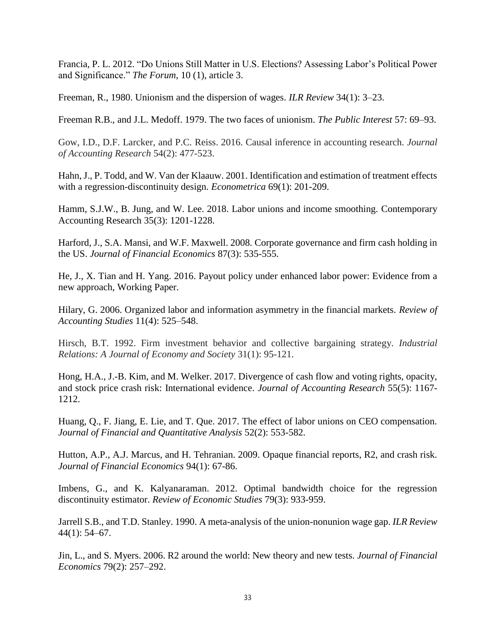Francia, P. L. 2012. "Do Unions Still Matter in U.S. Elections? Assessing Labor's Political Power and Significance." *The Forum*, 10 (1), article 3.

Freeman, R., 1980. Unionism and the dispersion of wages. *ILR Review* 34(1): 3–23.

Freeman R.B., and J.L. Medoff. 1979. The two faces of unionism. *The Public Interest* 57: 69–93.

Gow, I.D., D.F. Larcker, and P.C. Reiss. 2016. Causal inference in accounting research. *Journal of Accounting Research* 54(2): 477-523.

Hahn, J., P. Todd, and W. Van der Klaauw. 2001. Identification and estimation of treatment effects with a regression-discontinuity design. *Econometrica* 69(1): 201-209.

Hamm, S.J.W., B. Jung, and W. Lee. 2018. Labor unions and income smoothing. Contemporary Accounting Research 35(3): 1201-1228.

Harford, J., S.A. Mansi, and W.F. Maxwell. 2008. Corporate governance and firm cash holding in the US. *Journal of Financial Economics* 87(3): 535-555.

He, J., X. Tian and H. Yang. 2016. Payout policy under enhanced labor power: Evidence from a new approach, Working Paper.

Hilary, G. 2006. Organized labor and information asymmetry in the financial markets. *Review of Accounting Studies* 11(4): 525–548.

Hirsch, B.T. 1992. Firm investment behavior and collective bargaining strategy. *Industrial Relations: A Journal of Economy and Society* 31(1): 95-121.

Hong, H.A., J.-B. Kim, and M. Welker. 2017. Divergence of cash flow and voting rights, opacity, and stock price crash risk: International evidence. *Journal of Accounting Research* 55(5): 1167- 1212.

Huang, Q., F. Jiang, E. Lie, and T. Que. 2017. The effect of labor unions on CEO compensation. *Journal of Financial and Quantitative Analysis* 52(2): 553-582.

Hutton, A.P., A.J. Marcus, and H. Tehranian. 2009. Opaque financial reports, R2, and crash risk. *Journal of Financial Economics* 94(1): 67-86.

Imbens, G., and K. Kalyanaraman. 2012. Optimal bandwidth choice for the regression discontinuity estimator. *Review of Economic Studies* 79(3): 933-959.

Jarrell S.B., and T.D. Stanley. 1990. A meta-analysis of the union-nonunion wage gap. *ILR Review*  44(1): 54–67.

Jin, L., and S. Myers. 2006. R2 around the world: New theory and new tests. *Journal of Financial Economics* 79(2): 257–292.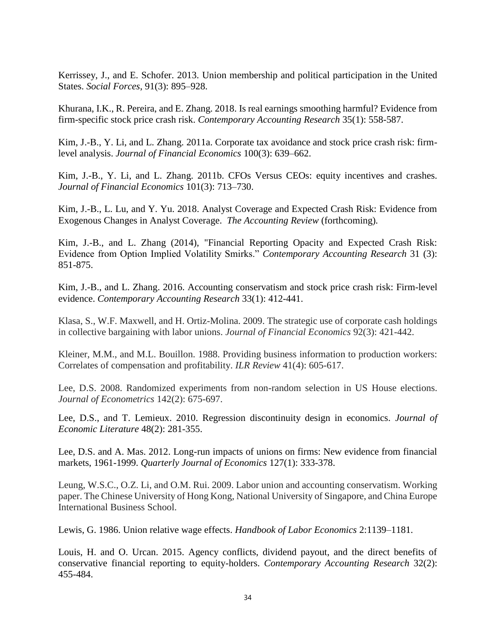Kerrissey, J., and E. Schofer. 2013. Union membership and political participation in the United States. *Social Forces*, 91(3): 895–928.

Khurana, I.K., R. Pereira, and E. Zhang. 2018. Is real earnings smoothing harmful? Evidence from firm-specific stock price crash risk. *Contemporary Accounting Research* 35(1): 558-587.

Kim, J.-B., Y. Li, and L. Zhang. 2011a. Corporate tax avoidance and stock price crash risk: firmlevel analysis. *Journal of Financial Economics* 100(3): 639–662.

Kim, J.-B., Y. Li, and L. Zhang. 2011b. CFOs Versus CEOs: equity incentives and crashes. *Journal of Financial Economics* 101(3): 713–730.

Kim, J.-B., L. Lu, and Y. Yu. 2018. Analyst Coverage and Expected Crash Risk: Evidence from Exogenous Changes in Analyst Coverage. *The Accounting Review* (forthcoming)*.*

Kim, J.-B., and L. Zhang (2014), "Financial Reporting Opacity and Expected Crash Risk: Evidence from Option Implied Volatility Smirks." *Contemporary Accounting Research* 31 (3): 851-875.

Kim, J.-B., and L. Zhang. 2016. Accounting conservatism and stock price crash risk: Firm-level evidence. *Contemporary Accounting Research* 33(1): 412-441.

Klasa, S., W.F. Maxwell, and H. Ortiz-Molina. 2009. The strategic use of corporate cash holdings in collective bargaining with labor unions. *Journal of Financial Economics* 92(3): 421-442.

Kleiner, M.M., and M.L. Bouillon. 1988. Providing business information to production workers: Correlates of compensation and profitability. *ILR Review* 41(4): 605-617.

Lee, D.S. 2008. Randomized experiments from non-random selection in US House elections. *Journal of Econometrics* 142(2): 675-697.

Lee, D.S., and T. Lemieux. 2010. Regression discontinuity design in economics. *Journal of Economic Literature* 48(2): 281-355.

Lee, D.S. and A. Mas. 2012. Long-run impacts of unions on firms: New evidence from financial markets, 1961-1999. *Quarterly Journal of Economics* 127(1): 333-378.

Leung, W.S.C., O.Z. Li, and O.M. Rui. 2009. Labor union and accounting conservatism. Working paper. The Chinese University of Hong Kong, National University of Singapore, and China Europe International Business School.

Lewis, G. 1986. Union relative wage effects. *Handbook of Labor Economics* 2:1139–1181.

Louis, H. and O. Urcan. 2015. Agency conflicts, dividend payout, and the direct benefits of conservative financial reporting to equity-holders. *Contemporary Accounting Research* 32(2): 455-484.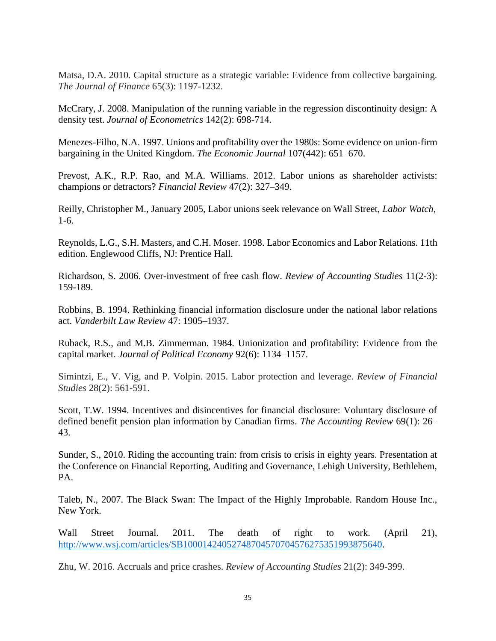Matsa, D.A. 2010. Capital structure as a strategic variable: Evidence from collective bargaining. *The Journal of Finance* 65(3): 1197-1232.

McCrary, J. 2008. Manipulation of the running variable in the regression discontinuity design: A density test. *Journal of Econometrics* 142(2): 698-714.

Menezes-Filho, N.A. 1997. Unions and profitability over the 1980s: Some evidence on union-firm bargaining in the United Kingdom. *The Economic Journal* 107(442): 651–670.

Prevost, A.K., R.P. Rao, and M.A. Williams. 2012. Labor unions as shareholder activists: champions or detractors? *Financial Review* 47(2): 327–349.

Reilly, Christopher M., January 2005, Labor unions seek relevance on Wall Street, *Labor Watch*, 1-6.

Reynolds, L.G., S.H. Masters, and C.H. Moser. 1998. Labor Economics and Labor Relations. 11th edition. Englewood Cliffs, NJ: Prentice Hall.

Richardson, S. 2006. Over-investment of free cash flow. *Review of Accounting Studies* 11(2-3): 159-189.

Robbins, B. 1994. Rethinking financial information disclosure under the national labor relations act. *Vanderbilt Law Review* 47: 1905–1937.

Ruback, R.S., and M.B. Zimmerman. 1984. Unionization and profitability: Evidence from the capital market. *Journal of Political Economy* 92(6): 1134–1157.

Simintzi, E., V. Vig, and P. Volpin. 2015. Labor protection and leverage. *Review of Financial Studies* 28(2): 561-591.

Scott, T.W. 1994. Incentives and disincentives for financial disclosure: Voluntary disclosure of defined benefit pension plan information by Canadian firms. *The Accounting Review* 69(1): 26– 43.

Sunder, S., 2010. Riding the accounting train: from crisis to crisis in eighty years. Presentation at the Conference on Financial Reporting, Auditing and Governance, Lehigh University, Bethlehem, PA.

Taleb, N., 2007. The Black Swan: The Impact of the Highly Improbable. Random House Inc., New York.

Wall Street Journal. 2011. The death of right to work. (April 21), [http://www.wsj.com/articles/SB10001424052748704570704576275351993875640.](http://www.wsj.com/articles/SB10001424052748704570704576275351993875640)

Zhu, W. 2016. Accruals and price crashes. *Review of Accounting Studies* 21(2): 349-399.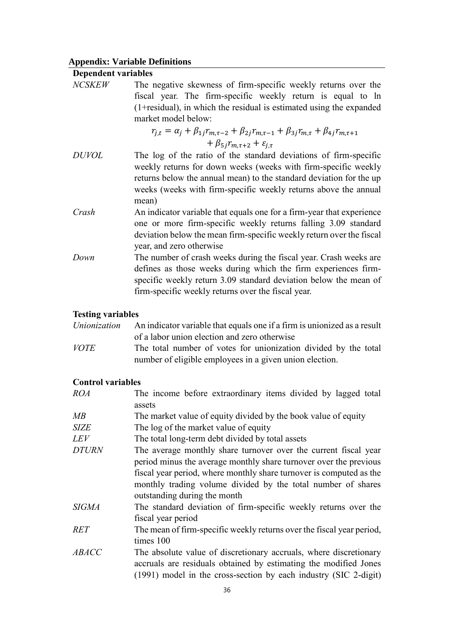# **Appendix: Variable Definitions**

| <b>Dependent variables</b> |                                                                                                                            |
|----------------------------|----------------------------------------------------------------------------------------------------------------------------|
| <b>NCSKEW</b>              | The negative skewness of firm-specific weekly returns over the                                                             |
|                            | fiscal year. The firm-specific weekly return is equal to ln                                                                |
|                            | $(1 + residual)$ , in which the residual is estimated using the expanded                                                   |
|                            | market model below:                                                                                                        |
|                            | $r_{i,t} = \alpha_i + \beta_{1,i}r_{m,\tau-2} + \beta_{2,i}r_{m,\tau-1} + \beta_{3,i}r_{m,\tau} + \beta_{4,i}r_{m,\tau+1}$ |
|                            | $+\beta_{5i}r_{m,\tau+2}+\varepsilon_{i,\tau}$                                                                             |
| <b>DUVOL</b>               | The log of the ratio of the standard deviations of firm-specific                                                           |
|                            | weekly returns for down weeks (weeks with firm-specific weekly                                                             |
|                            | returns below the annual mean) to the standard deviation for the up                                                        |
|                            | weeks (weeks with firm-specific weekly returns above the annual                                                            |
|                            | mean)                                                                                                                      |
| Crash                      | An indicator variable that equals one for a firm-year that experience                                                      |
|                            | one or more firm-specific weekly returns falling 3.09 standard                                                             |
|                            | deviation below the mean firm-specific weekly return over the fiscal                                                       |
|                            | year, and zero otherwise                                                                                                   |
| Down                       | The number of crash weeks during the fiscal year. Crash weeks are                                                          |
|                            | defines as those weeks during which the firm experiences firm-                                                             |
|                            | specific weekly return 3.09 standard deviation below the mean of                                                           |
|                            | firm-specific weekly returns over the fiscal year.                                                                         |
|                            |                                                                                                                            |

### **Testing variables**

|             | <i>Unionization</i> An indicator variable that equals one if a firm is unionized as a result |
|-------------|----------------------------------------------------------------------------------------------|
|             | of a labor union election and zero otherwise                                                 |
| <i>VOTE</i> | The total number of votes for unionization divided by the total                              |
|             | number of eligible employees in a given union election.                                      |

# **Control variables**

| The income before extraordinary items divided by lagged total<br>assets                                                                                                                                                                                                                                     |
|-------------------------------------------------------------------------------------------------------------------------------------------------------------------------------------------------------------------------------------------------------------------------------------------------------------|
| The market value of equity divided by the book value of equity                                                                                                                                                                                                                                              |
| The log of the market value of equity                                                                                                                                                                                                                                                                       |
| The total long-term debt divided by total assets                                                                                                                                                                                                                                                            |
| The average monthly share turnover over the current fiscal year<br>period minus the average monthly share turnover over the previous<br>fiscal year period, where monthly share turnover is computed as the<br>monthly trading volume divided by the total number of shares<br>outstanding during the month |
| The standard deviation of firm-specific weekly returns over the<br>fiscal year period                                                                                                                                                                                                                       |
| The mean of firm-specific weekly returns over the fiscal year period,<br>times 100                                                                                                                                                                                                                          |
| The absolute value of discretionary accruals, where discretionary<br>accruals are residuals obtained by estimating the modified Jones<br>(1991) model in the cross-section by each industry (SIC 2-digit)                                                                                                   |
|                                                                                                                                                                                                                                                                                                             |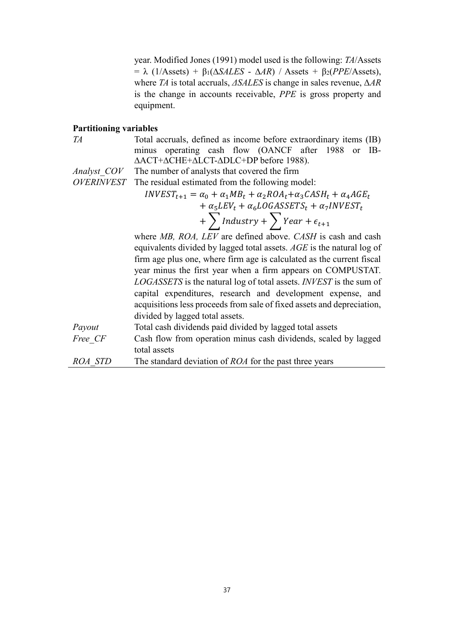year. Modified Jones (1991) model used is the following: *TA*/Assets = λ (1/Assets) + β1(∆*SALES* - ∆*AR*) / Assets + β2(*PPE*/Assets), where *TA* is total accruals, *ΔSALES* is change in sales revenue, Δ*AR* is the change in accounts receivable, *PPE* is gross property and equipment.

# **Partitioning variables**

| TA             | Total accruals, defined as income before extraordinary items (IB)                            |
|----------------|----------------------------------------------------------------------------------------------|
|                | minus operating cash flow (OANCF after 1988 or IB-                                           |
|                | ΔΑCT+ΔCHE+ΔLCT-ΔDLC+DP before 1988).                                                         |
| Analyst COV    | The number of analysts that covered the firm                                                 |
|                | <i>OVERINVEST</i> The residual estimated from the following model:                           |
|                | $INVEST_{t+1} = \alpha_0 + \alpha_1 MB_t + \alpha_2 ROA_t + \alpha_3 CASH_t + \alpha_4AGE_t$ |
|                | + $\alpha_5 LEV_t + \alpha_6 LOGASSETS_t + \alpha_7 INVEST_t$                                |
|                | + $\sum$ Industry + $\sum$ Year + $\epsilon_{t+1}$                                           |
|                | where MB, ROA, LEV are defined above. CASH is cash and cash                                  |
|                | equivalents divided by lagged total assets. $AGE$ is the natural log of                      |
|                | firm age plus one, where firm age is calculated as the current fiscal                        |
|                | year minus the first year when a firm appears on COMPUSTAT.                                  |
|                | LOGASSETS is the natural log of total assets. <i>INVEST</i> is the sum of                    |
|                | capital expenditures, research and development expense, and                                  |
|                | acquisitions less proceeds from sale of fixed assets and depreciation,                       |
|                | divided by lagged total assets.                                                              |
| Payout         | Total cash dividends paid divided by lagged total assets                                     |
| Free CF        | Cash flow from operation minus cash dividends, scaled by lagged                              |
|                | total assets                                                                                 |
| <i>ROA STD</i> | The standard deviation of <i>ROA</i> for the past three years                                |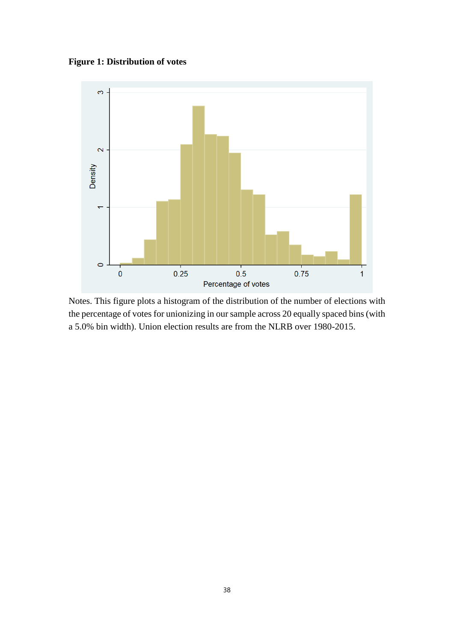**Figure 1: Distribution of votes**



Notes. This figure plots a histogram of the distribution of the number of elections with the percentage of votes for unionizing in our sample across 20 equally spaced bins (with a 5.0% bin width). Union election results are from the NLRB over 1980-2015.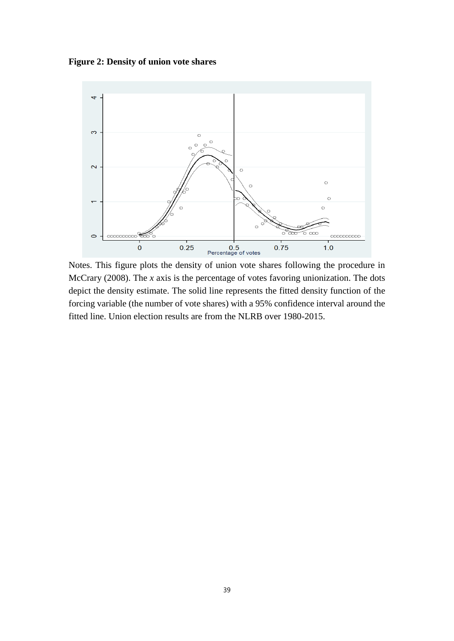**Figure 2: Density of union vote shares**



Notes. This figure plots the density of union vote shares following the procedure in McCrary (2008). The *x* axis is the percentage of votes favoring unionization. The dots depict the density estimate. The solid line represents the fitted density function of the forcing variable (the number of vote shares) with a 95% confidence interval around the fitted line. Union election results are from the NLRB over 1980-2015.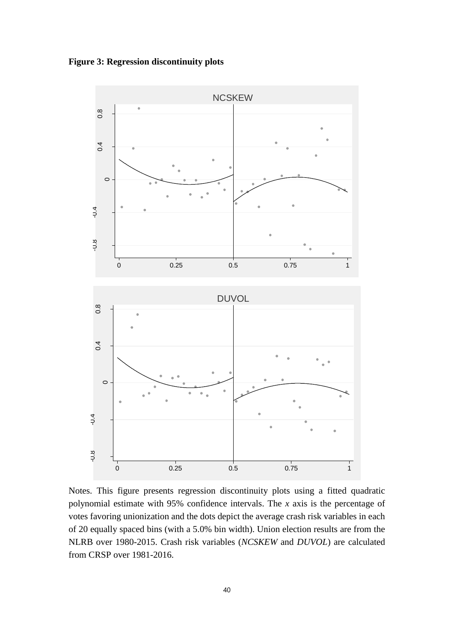**Figure 3: Regression discontinuity plots**



Notes. This figure presents regression discontinuity plots using a fitted quadratic polynomial estimate with 95% confidence intervals. The *x* axis is the percentage of votes favoring unionization and the dots depict the average crash risk variables in each of 20 equally spaced bins (with a 5.0% bin width). Union election results are from the NLRB over 1980-2015. Crash risk variables (*NCSKEW* and *DUVOL*) are calculated from CRSP over 1981-2016.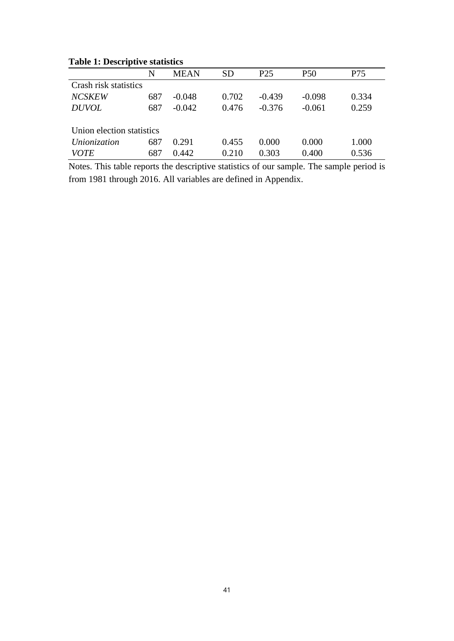| $-$ which is the state of $\sim$ . The state of $\sim$ |     |             |           |                 |            |       |
|--------------------------------------------------------|-----|-------------|-----------|-----------------|------------|-------|
|                                                        | N   | <b>MEAN</b> | <b>SD</b> | P <sub>25</sub> | <b>P50</b> | P75   |
| Crash risk statistics                                  |     |             |           |                 |            |       |
| <b>NCSKEW</b>                                          | 687 | $-0.048$    | 0.702     | $-0.439$        | $-0.098$   | 0.334 |
| <b>DUVOL</b>                                           | 687 | $-0.042$    | 0.476     | $-0.376$        | $-0.061$   | 0.259 |
|                                                        |     |             |           |                 |            |       |
| Union election statistics                              |     |             |           |                 |            |       |
| Unionization                                           | 687 | 0.291       | 0.455     | 0.000           | 0.000      | 1.000 |
| <b>VOTE</b>                                            | 687 | 0.442       | 0.210     | 0.303           | 0.400      | 0.536 |

**Table 1: Descriptive statistics**

Notes. This table reports the descriptive statistics of our sample. The sample period is from 1981 through 2016. All variables are defined in Appendix.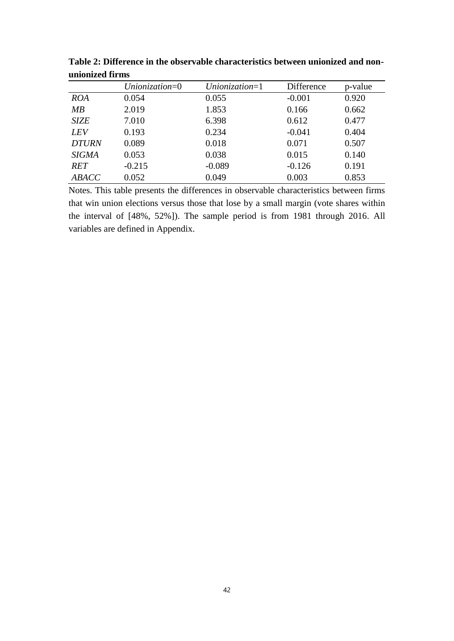| umvinztu in mə |                |                |            |         |  |
|----------------|----------------|----------------|------------|---------|--|
|                | Unionization=0 | Unionization=1 | Difference | p-value |  |
| <b>ROA</b>     | 0.054          | 0.055          | $-0.001$   | 0.920   |  |
| MB             | 2.019          | 1.853          | 0.166      | 0.662   |  |
| <b>SIZE</b>    | 7.010          | 6.398          | 0.612      | 0.477   |  |
| <i>LEV</i>     | 0.193          | 0.234          | $-0.041$   | 0.404   |  |
| <b>DTURN</b>   | 0.089          | 0.018          | 0.071      | 0.507   |  |
| <b>SIGMA</b>   | 0.053          | 0.038          | 0.015      | 0.140   |  |
| <b>RET</b>     | $-0.215$       | $-0.089$       | $-0.126$   | 0.191   |  |
| ABACC          | 0.052          | 0.049          | 0.003      | 0.853   |  |

**Table 2: Difference in the observable characteristics between unionized and nonunionized firms**

Notes. This table presents the differences in observable characteristics between firms that win union elections versus those that lose by a small margin (vote shares within the interval of [48%, 52%]). The sample period is from 1981 through 2016. All variables are defined in Appendix.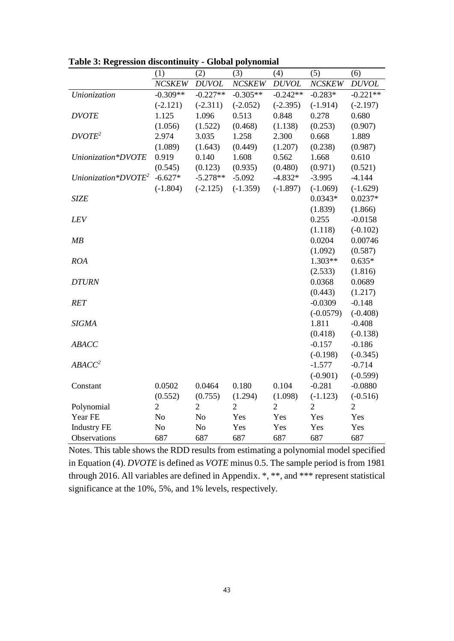|                         | (1)            | (2)            | (3)            | (4)            | (5)            | (6)            |
|-------------------------|----------------|----------------|----------------|----------------|----------------|----------------|
|                         | <b>NCSKEW</b>  | <b>DUVOL</b>   | <b>NCSKEW</b>  | <b>DUVOL</b>   | <b>NCSKEW</b>  | <b>DUVOL</b>   |
| Unionization            | $-0.309**$     | $-0.227**$     | $-0.305**$     | $-0.242**$     | $-0.283*$      | $-0.221**$     |
|                         | $(-2.121)$     | $(-2.311)$     | $(-2.052)$     | $(-2.395)$     | $(-1.914)$     | $(-2.197)$     |
| <b>DVOTE</b>            | 1.125          | 1.096          | 0.513          | 0.848          | 0.278          | 0.680          |
|                         | (1.056)        | (1.522)        | (0.468)        | (1.138)        | (0.253)        | (0.907)        |
| DVOTE <sup>2</sup>      | 2.974          | 3.035          | 1.258          | 2.300          | 0.668          | 1.889          |
|                         | (1.089)        | (1.643)        | (0.449)        | (1.207)        | (0.238)        | (0.987)        |
| Unionization*DVOTE      | 0.919          | 0.140          | 1.608          | 0.562          | 1.668          | 0.610          |
|                         | (0.545)        | (0.123)        | (0.935)        | (0.480)        | (0.971)        | (0.521)        |
| Unionization* $DVOTE^2$ | $-6.627*$      | $-5.278**$     | $-5.092$       | $-4.832*$      | $-3.995$       | $-4.144$       |
|                         | $(-1.804)$     | $(-2.125)$     | $(-1.359)$     | $(-1.897)$     | $(-1.069)$     | $(-1.629)$     |
| <b>SIZE</b>             |                |                |                |                | $0.0343*$      | $0.0237*$      |
|                         |                |                |                |                | (1.839)        | (1.866)        |
| LEV                     |                |                |                |                | 0.255          | $-0.0158$      |
|                         |                |                |                |                | (1.118)        | $(-0.102)$     |
| MB                      |                |                |                |                | 0.0204         | 0.00746        |
|                         |                |                |                |                | (1.092)        | (0.587)        |
| <b>ROA</b>              |                |                |                |                | $1.303**$      | $0.635*$       |
|                         |                |                |                |                | (2.533)        | (1.816)        |
| <b>DTURN</b>            |                |                |                |                | 0.0368         | 0.0689         |
|                         |                |                |                |                | (0.443)        | (1.217)        |
| <b>RET</b>              |                |                |                |                | $-0.0309$      | $-0.148$       |
|                         |                |                |                |                | $(-0.0579)$    | $(-0.408)$     |
| <b>SIGMA</b>            |                |                |                |                | 1.811          | $-0.408$       |
|                         |                |                |                |                | (0.418)        | $(-0.138)$     |
| <b>ABACC</b>            |                |                |                |                | $-0.157$       | $-0.186$       |
|                         |                |                |                |                | $(-0.198)$     | $(-0.345)$     |
| ABACC <sup>2</sup>      |                |                |                |                | $-1.577$       | $-0.714$       |
|                         |                |                |                |                | $(-0.901)$     | $(-0.599)$     |
| Constant                | 0.0502         | 0.0464         | 0.180          | 0.104          | $-0.281$       | $-0.0880$      |
|                         | (0.552)        | (0.755)        | (1.294)        | (1.098)        | $(-1.123)$     | $(-0.516)$     |
| Polynomial              | $\mathbf{2}$   | $\overline{2}$ | $\overline{2}$ | $\overline{2}$ | $\overline{2}$ | $\overline{2}$ |
| Year FE                 | No             | No             | Yes            | Yes            | Yes            | Yes            |
| <b>Industry FE</b>      | N <sub>o</sub> | N <sub>o</sub> | Yes            | Yes            | Yes            | Yes            |
| Observations            | 687            | 687            | 687            | 687            | 687            | 687            |

**Table 3: Regression discontinuity - Global polynomial**

Notes. This table shows the RDD results from estimating a polynomial model specified in Equation (4). *DVOTE* is defined as *VOTE* minus 0.5. The sample period is from 1981 through 2016. All variables are defined in Appendix. \*, \*\*, and \*\*\* represent statistical significance at the 10%, 5%, and 1% levels, respectively.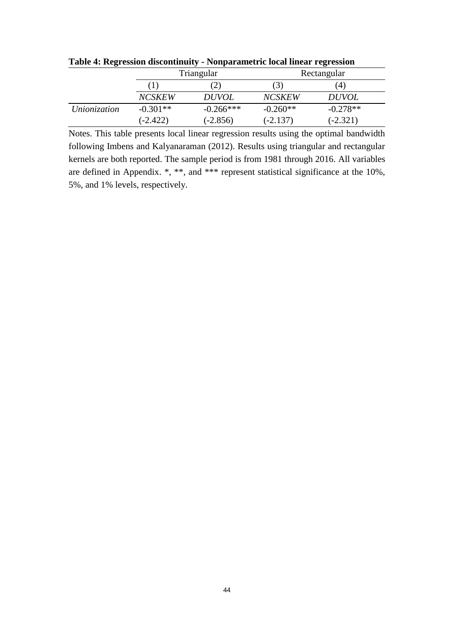|              |               | Triangular   |                | Rectangular      |
|--------------|---------------|--------------|----------------|------------------|
|              |               |              | $\mathfrak{I}$ | $\left(4\right)$ |
|              | <b>NCSKEW</b> | <i>DUVOL</i> | <b>NCSKEW</b>  | <i>DUVOL</i>     |
| Unionization | $-0.301**$    | $-0.266***$  | $-0.260**$     | $-0.278**$       |
|              | $(-2.422)$    | $(-2.856)$   | $(-2.137)$     | $(-2.321)$       |

**Table 4: Regression discontinuity - Nonparametric local linear regression**

Notes. This table presents local linear regression results using the optimal bandwidth following Imbens and Kalyanaraman (2012). Results using triangular and rectangular kernels are both reported. The sample period is from 1981 through 2016. All variables are defined in Appendix. \*, \*\*, and \*\*\* represent statistical significance at the 10%, 5%, and 1% levels, respectively.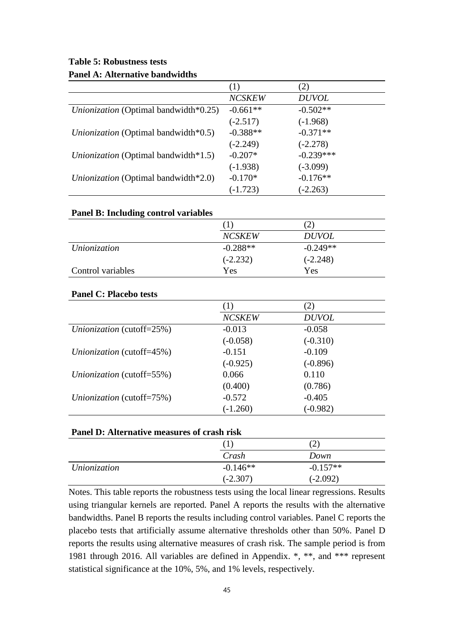**Table 5: Robustness tests Panel A: Alternative bandwidths**

|                                              | (1)           | $\mathbf{2}$ |
|----------------------------------------------|---------------|--------------|
|                                              | <b>NCSKEW</b> | <b>DUVOL</b> |
| <i>Unionization</i> (Optimal bandwidth*0.25) | $-0.661**$    | $-0.502**$   |
|                                              | $(-2.517)$    | $(-1.968)$   |
| <i>Unionization</i> (Optimal bandwidth*0.5)  | $-0.388**$    | $-0.371**$   |
|                                              | $(-2.249)$    | $(-2.278)$   |
| <i>Unionization</i> (Optimal bandwidth*1.5)  | $-0.207*$     | $-0.239***$  |
|                                              | $(-1.938)$    | $(-3.099)$   |
| <i>Unionization</i> (Optimal bandwidth*2.0)  | $-0.170*$     | $-0.176**$   |
|                                              | $(-1.723)$    | $(-2.263)$   |

#### **Panel B: Including control variables**

|                   |               | (2)          |
|-------------------|---------------|--------------|
|                   | <b>NCSKEW</b> | <i>DUVOL</i> |
| Unionization      | $-0.288**$    | $-0.249**$   |
|                   | $(-2.232)$    | $(-2.248)$   |
| Control variables | Yes           | Yes          |

## **Panel C: Placebo tests**

|                                  |               | (2)          |
|----------------------------------|---------------|--------------|
|                                  | <b>NCSKEW</b> | <b>DUVOL</b> |
| <i>Unionization</i> (cutoff=25%) | $-0.013$      | $-0.058$     |
|                                  | $(-0.058)$    | $(-0.310)$   |
| <i>Unionization</i> (cutoff=45%) | $-0.151$      | $-0.109$     |
|                                  | $(-0.925)$    | $(-0.896)$   |
| <i>Unionization</i> (cutoff=55%) | 0.066         | 0.110        |
|                                  | (0.400)       | (0.786)      |
| <i>Unionization</i> (cutoff=75%) | $-0.572$      | $-0.405$     |
|                                  | $(-1.260)$    | $(-0.982)$   |

# **Panel D: Alternative measures of crash risk**

|                     |            | $\mathcal{L}$ |  |
|---------------------|------------|---------------|--|
|                     | Crash      | Down          |  |
| <i>Unionization</i> | $-0.146**$ | $-0.157**$    |  |
|                     | $(-2.307)$ | $(-2.092)$    |  |

Notes. This table reports the robustness tests using the local linear regressions. Results using triangular kernels are reported. Panel A reports the results with the alternative bandwidths. Panel B reports the results including control variables. Panel C reports the placebo tests that artificially assume alternative thresholds other than 50%. Panel D reports the results using alternative measures of crash risk. The sample period is from 1981 through 2016. All variables are defined in Appendix. \*, \*\*, and \*\*\* represent statistical significance at the 10%, 5%, and 1% levels, respectively.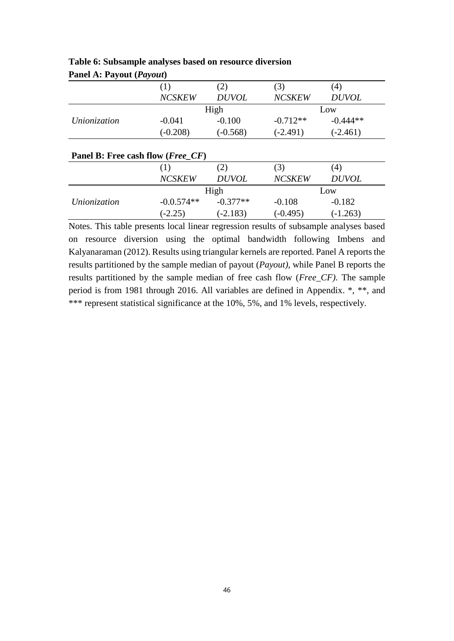| $=$ where $=$ $\omega$ , $=$ $\omega$ , $=$ $\omega$ , $=$ $\omega$ , $=$ $\omega$ , $=$ |            |              |               |              |  |  |
|------------------------------------------------------------------------------------------|------------|--------------|---------------|--------------|--|--|
|                                                                                          | (1)        | (2)          | 3)            | (4)          |  |  |
|                                                                                          | NCSKEW     | <i>DUVOL</i> | <b>NCSKEW</b> | <i>DUVOL</i> |  |  |
|                                                                                          |            | High         |               | Low          |  |  |
| Unionization                                                                             | $-0.041$   | $-0.100$     | $-0.712**$    | $-0.444**$   |  |  |
|                                                                                          | $(-0.208)$ | $(-0.568)$   | $(-2.491)$    | $(-2.461)$   |  |  |

## **Table 6: Subsample analyses based on resource diversion Panel A: Payout (***Payout***)**

## **Panel B: Free cash flow (***Free\_CF***)**

|              | (1)           | (2)          | (3)           | (4)          |  |
|--------------|---------------|--------------|---------------|--------------|--|
|              | <b>NCSKEW</b> | <i>DUVOL</i> | <b>NCSKEW</b> | <i>DUVOL</i> |  |
|              |               | High         |               | Low          |  |
| Unionization | $-0.0.574**$  | $-0.377**$   | $-0.108$      | $-0.182$     |  |
|              | $(-2.25)$     | $(-2.183)$   | $(-0.495)$    | $(-1.263)$   |  |

Notes. This table presents local linear regression results of subsample analyses based on resource diversion using the optimal bandwidth following Imbens and Kalyanaraman (2012). Results using triangular kernels are reported. Panel A reports the results partitioned by the sample median of payout (*Payout)*, while Panel B reports the results partitioned by the sample median of free cash flow (*Free\_CF)*. The sample period is from 1981 through 2016. All variables are defined in Appendix. \*, \*\*, and \*\*\* represent statistical significance at the 10%, 5%, and 1% levels, respectively.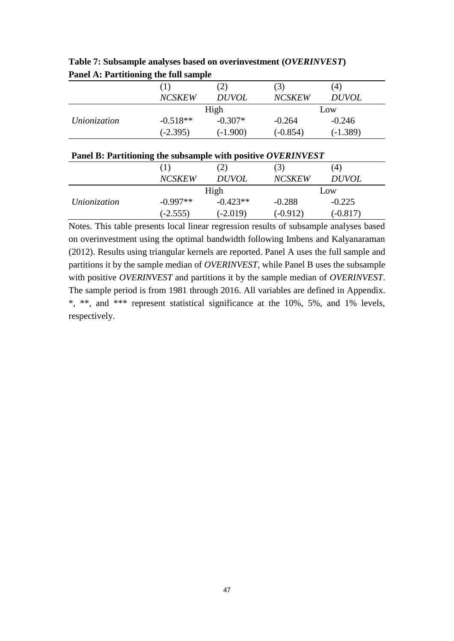|              | $\left(1\right)$ | $\mathbf{2})$ | (3)           | (4)          |
|--------------|------------------|---------------|---------------|--------------|
|              | <b>NCSKEW</b>    | <i>DUVOL</i>  | <b>NCSKEW</b> | <i>DUVOL</i> |
|              |                  | High          |               | Low          |
| Unionization | $-0.518**$       | $-0.307*$     | $-0.264$      | $-0.246$     |
|              | $(-2.395)$       | $(-1.900)$    | $(-0.854)$    | $(-1.389)$   |

**Table 7: Subsample analyses based on overinvestment (***OVERINVEST***) Panel A: Partitioning the full sample**

|  |  |  |  | Panel B: Partitioning the subsample with positive OVERINVEST |
|--|--|--|--|--------------------------------------------------------------|
|--|--|--|--|--------------------------------------------------------------|

|              |            | (2)          | $\mathfrak{I}$ | (4)          |
|--------------|------------|--------------|----------------|--------------|
|              | NCSKEW     | <i>DUVOL</i> | NCSKEW         | <i>DUVOL</i> |
|              |            | High         |                | Low          |
| Unionization | $-0.997**$ | $-0.423**$   | $-0.288$       | $-0.225$     |
|              | $(-2.555)$ | $(-2.019)$   | (-0.912)       | $(-0.817)$   |

Notes. This table presents local linear regression results of subsample analyses based on overinvestment using the optimal bandwidth following Imbens and Kalyanaraman (2012). Results using triangular kernels are reported. Panel A uses the full sample and partitions it by the sample median of *OVERINVEST*, while Panel B uses the subsample with positive *OVERINVEST* and partitions it by the sample median of *OVERINVEST*. The sample period is from 1981 through 2016. All variables are defined in Appendix. \*, \*\*, and \*\*\* represent statistical significance at the 10%, 5%, and 1% levels, respectively.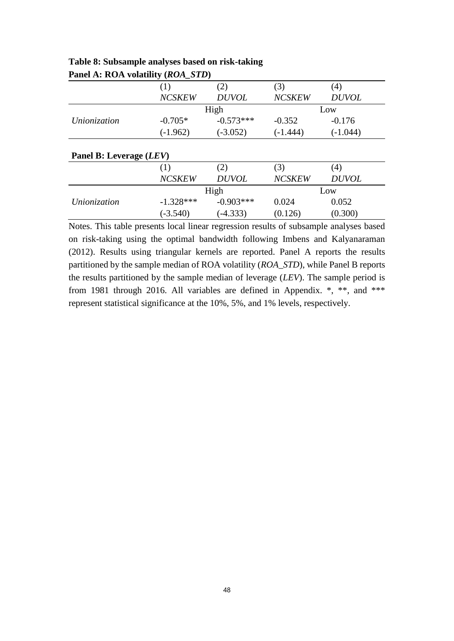| $\mathbf{r}$ and $\mathbf{r}$ , $\mathbf{r}$ and $\mathbf{r}$ and $\mathbf{r}$ and $\mathbf{r}$ and $\mathbf{r}$ |               |                   |               |              |  |
|------------------------------------------------------------------------------------------------------------------|---------------|-------------------|---------------|--------------|--|
|                                                                                                                  | (1)           | (2)               | (3)           | 4)           |  |
|                                                                                                                  | <b>NCSKEW</b> | <b>DUVOL</b>      | <b>NCSKEW</b> | <b>DUVOL</b> |  |
|                                                                                                                  |               | High              |               | Low          |  |
| Unionization                                                                                                     | $-0.705*$     | $-0.573***$       | $-0.352$      | $-0.176$     |  |
|                                                                                                                  | $(-1.962)$    | $(-3.052)$        | $(-1.444)$    | $(-1.044)$   |  |
|                                                                                                                  |               |                   |               |              |  |
| Panel B: Leverage (LEV)                                                                                          |               |                   |               |              |  |
|                                                                                                                  | . 1 )         | $\left( 2\right)$ | $\mathcal{L}$ | 4            |  |

*NCSKEW DUVOL NCSKEW DUVOL*

High Low

## **Table 8: Subsample analyses based on risk-taking Panel A: ROA volatility (***ROA\_STD***)**

 $(-3.540)$   $(-4.333)$   $(0.126)$   $(0.300)$ Notes. This table presents local linear regression results of subsample analyses based on risk-taking using the optimal bandwidth following Imbens and Kalyanaraman (2012). Results using triangular kernels are reported. Panel A reports the results partitioned by the sample median of ROA volatility (*ROA\_STD*), while Panel B reports the results partitioned by the sample median of leverage (*LEV*). The sample period is from 1981 through 2016. All variables are defined in Appendix. \*, \*\*, and \*\*\* represent statistical significance at the 10%, 5%, and 1% levels, respectively.

*Unionization* -1.328\*\*\* -0.903\*\*\* 0.024 0.052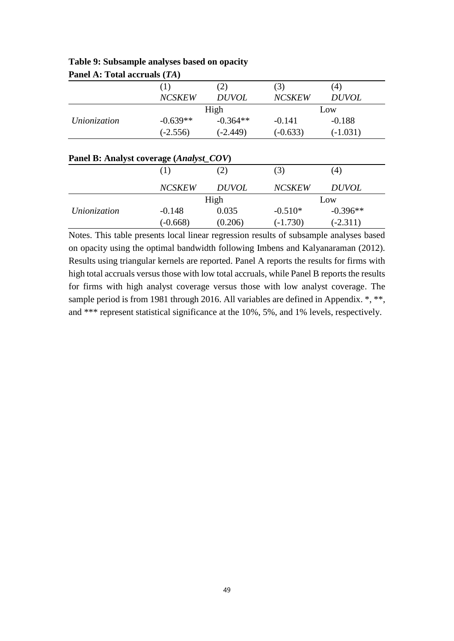|              | (1)        | (2)          | 3)         | (4)          |  |  |
|--------------|------------|--------------|------------|--------------|--|--|
|              | NCSKEW     | <i>DUVOL</i> | NCSKEW     | <b>DUVOL</b> |  |  |
|              |            | High         |            | Low          |  |  |
| Unionization | $-0.639**$ | $-0.364**$   | $-0.141$   | $-0.188$     |  |  |
|              | $(-2.556)$ | (-2.449)     | $(-0.633)$ | $(-1.031)$   |  |  |

# **Table 9: Subsample analyses based on opacity Panel A: Total accruals (***TA***)**

## **Panel B: Analyst coverage (***Analyst\_COV***)**

|              | $\left( 1\right)$ | $\left( 2\right)$ | (3)           | (4)          |
|--------------|-------------------|-------------------|---------------|--------------|
|              | <b>NCSKEW</b>     | <i>DUVOL</i>      | <b>NCSKEW</b> | <i>DUVOL</i> |
|              | High              |                   | Low           |              |
| Unionization | $-0.148$          | 0.035             | $-0.510*$     | $-0.396**$   |
|              | $(-0.668)$        | (0.206)           | $(-1.730)$    | $(-2.311)$   |

Notes. This table presents local linear regression results of subsample analyses based on opacity using the optimal bandwidth following Imbens and Kalyanaraman (2012). Results using triangular kernels are reported. Panel A reports the results for firms with high total accruals versus those with low total accruals, while Panel B reports the results for firms with high analyst coverage versus those with low analyst coverage. The sample period is from 1981 through 2016. All variables are defined in Appendix. \*, \*\*, and \*\*\* represent statistical significance at the 10%, 5%, and 1% levels, respectively.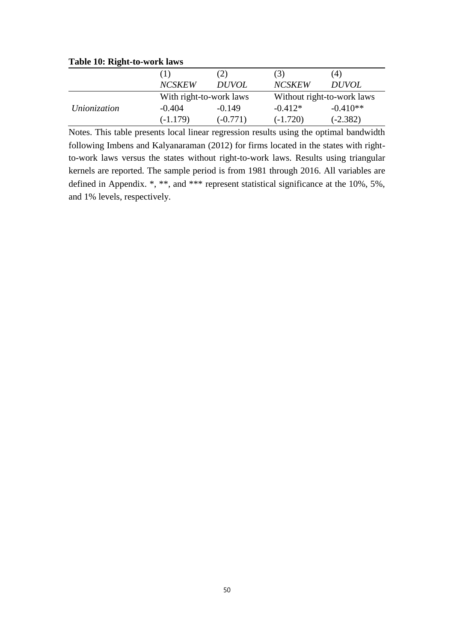## **Table 10: Right-to-work laws**

|              | (1)                     | (2)          | (3)                        | (4)          |
|--------------|-------------------------|--------------|----------------------------|--------------|
|              | <b>NCSKEW</b>           | <i>DUVOL</i> | <b>NCSKEW</b>              | <i>DUVOL</i> |
|              | With right-to-work laws |              | Without right-to-work laws |              |
| Unionization | $-0.404$                | $-0.149$     | $-0.412*$                  | $-0.410**$   |
|              | $(-1.179)$              | $(-0.771)$   | $(-1.720)$                 | $(-2.382)$   |

Notes. This table presents local linear regression results using the optimal bandwidth following Imbens and Kalyanaraman (2012) for firms located in the states with rightto-work laws versus the states without right-to-work laws. Results using triangular kernels are reported. The sample period is from 1981 through 2016. All variables are defined in Appendix. \*, \*\*, and \*\*\* represent statistical significance at the 10%, 5%, and 1% levels, respectively.